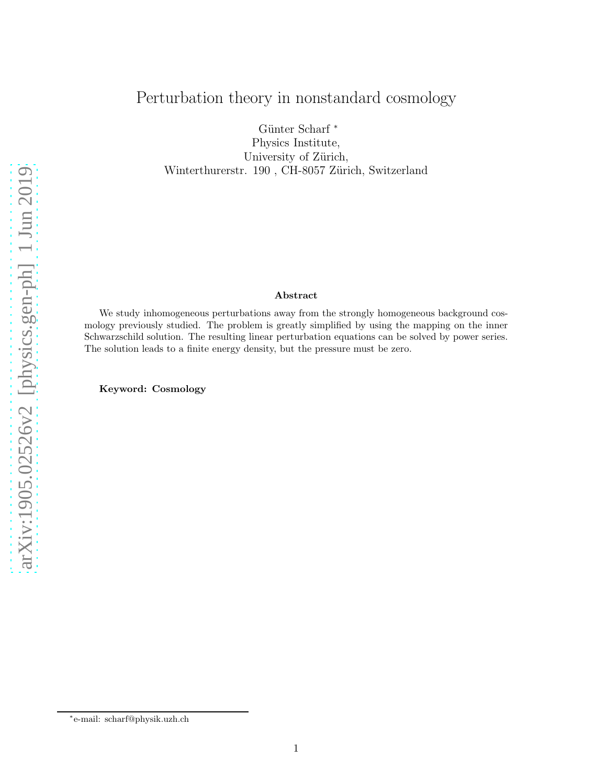# Perturbation theory in nonstandard cosmology

Günter Scharf $^*$ Physics Institute, University of Zürich, Winterthurerstr. 190, CH-8057 Zürich, Switzerland

#### Abstract

We study inhomogeneous perturbations away from the strongly homogeneous background cosmology previously studied. The problem is greatly simplified by using the mapping on the inner Schwarzschild solution. The resulting linear perturbation equations can be solved by power series. The solution leads to a finite energy density, but the pressure must be zero.

Keyword: Cosmology

<sup>∗</sup> e-mail: scharf@physik.uzh.ch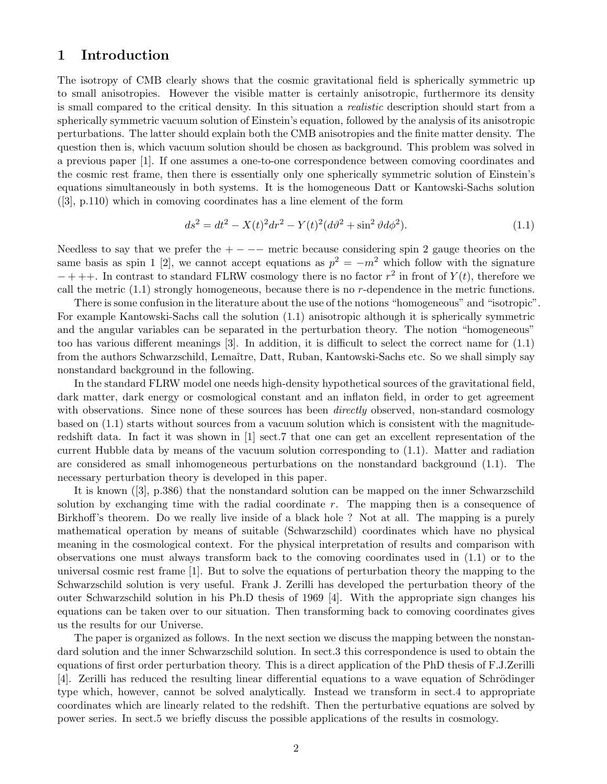#### 1 Introduction

The isotropy of CMB clearly shows that the cosmic gravitational field is spherically symmetric up to small anisotropies. However the visible matter is certainly anisotropic, furthermore its density is small compared to the critical density. In this situation a realistic description should start from a spherically symmetric vacuum solution of Einstein's equation, followed by the analysis of its anisotropic perturbations. The latter should explain both the CMB anisotropies and the finite matter density. The question then is, which vacuum solution should be chosen as background. This problem was solved in a previous paper [1]. If one assumes a one-to-one correspondence between comoving coordinates and the cosmic rest frame, then there is essentially only one spherically symmetric solution of Einstein's equations simultaneously in both systems. It is the homogeneous Datt or Kantowski-Sachs solution ([3], p.110) which in comoving coordinates has a line element of the form

$$
ds^{2} = dt^{2} - X(t)^{2}dr^{2} - Y(t)^{2}(d\vartheta^{2} + \sin^{2}\vartheta d\varphi^{2}).
$$
\n(1.1)

Needless to say that we prefer the  $+ - - -$  metric because considering spin 2 gauge theories on the same basis as spin 1 [2], we cannot accept equations as  $p^2 = -m^2$  which follow with the signature  $-$  + ++. In contrast to standard FLRW cosmology there is no factor  $r^2$  in front of  $Y(t)$ , therefore we call the metric  $(1.1)$  strongly homogeneous, because there is no r-dependence in the metric functions.

There is some confusion in the literature about the use of the notions "homogeneous" and "isotropic". For example Kantowski-Sachs call the solution (1.1) anisotropic although it is spherically symmetric and the angular variables can be separated in the perturbation theory. The notion "homogeneous" too has various different meanings [3]. In addition, it is difficult to select the correct name for (1.1) from the authors Schwarzschild, Lemaître, Datt, Ruban, Kantowski-Sachs etc. So we shall simply say nonstandard background in the following.

In the standard FLRW model one needs high-density hypothetical sources of the gravitational field, dark matter, dark energy or cosmological constant and an inflaton field, in order to get agreement with observations. Since none of these sources has been *directly* observed, non-standard cosmology based on (1.1) starts without sources from a vacuum solution which is consistent with the magnituderedshift data. In fact it was shown in [1] sect.7 that one can get an excellent representation of the current Hubble data by means of the vacuum solution corresponding to (1.1). Matter and radiation are considered as small inhomogeneous perturbations on the nonstandard background (1.1). The necessary perturbation theory is developed in this paper.

It is known ([3], p.386) that the nonstandard solution can be mapped on the inner Schwarzschild solution by exchanging time with the radial coordinate  $r$ . The mapping then is a consequence of Birkhoff's theorem. Do we really live inside of a black hole ? Not at all. The mapping is a purely mathematical operation by means of suitable (Schwarzschild) coordinates which have no physical meaning in the cosmological context. For the physical interpretation of results and comparison with observations one must always transform back to the comoving coordinates used in (1.1) or to the universal cosmic rest frame [1]. But to solve the equations of perturbation theory the mapping to the Schwarzschild solution is very useful. Frank J. Zerilli has developed the perturbation theory of the outer Schwarzschild solution in his Ph.D thesis of 1969 [4]. With the appropriate sign changes his equations can be taken over to our situation. Then transforming back to comoving coordinates gives us the results for our Universe.

The paper is organized as follows. In the next section we discuss the mapping between the nonstandard solution and the inner Schwarzschild solution. In sect.3 this correspondence is used to obtain the equations of first order perturbation theory. This is a direct application of the PhD thesis of F.J.Zerilli [4]. Zerilli has reduced the resulting linear differential equations to a wave equation of Schrödinger type which, however, cannot be solved analytically. Instead we transform in sect.4 to appropriate coordinates which are linearly related to the redshift. Then the perturbative equations are solved by power series. In sect.5 we briefly discuss the possible applications of the results in cosmology.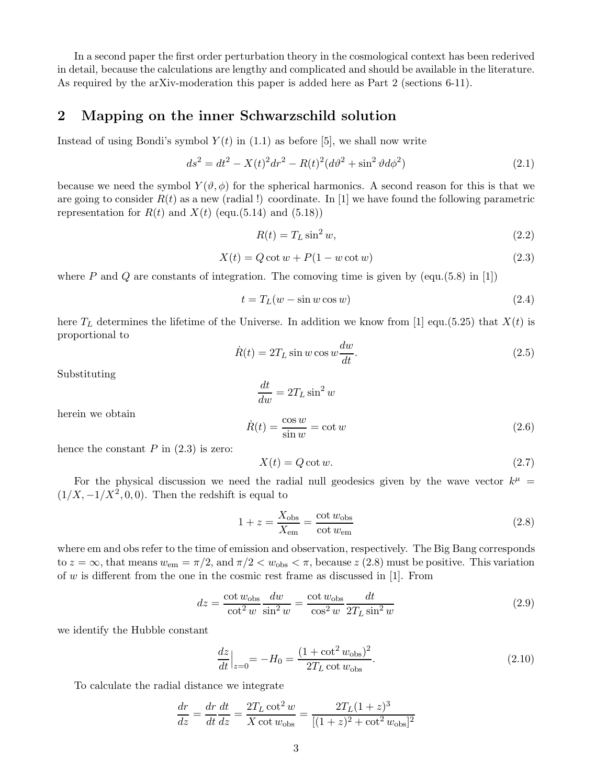In a second paper the first order perturbation theory in the cosmological context has been rederived in detail, because the calculations are lengthy and complicated and should be available in the literature. As required by the arXiv-moderation this paper is added here as Part 2 (sections 6-11).

#### 2 Mapping on the inner Schwarzschild solution

Instead of using Bondi's symbol  $Y(t)$  in (1.1) as before [5], we shall now write

$$
ds^{2} = dt^{2} - X(t)^{2}dr^{2} - R(t)^{2}(d\vartheta^{2} + \sin^{2}\vartheta d\phi^{2})
$$
\n(2.1)

because we need the symbol  $Y(\vartheta,\phi)$  for the spherical harmonics. A second reason for this is that we are going to consider  $R(t)$  as a new (radial !) coordinate. In [1] we have found the following parametric representation for  $R(t)$  and  $X(t)$  (equ.(5.14) and (5.18))

$$
R(t) = T_L \sin^2 w,\tag{2.2}
$$

$$
X(t) = Q \cot w + P(1 - w \cot w)
$$
\n
$$
(2.3)
$$

where P and Q are constants of integration. The comoving time is given by (equ.(5.8) in [1])

 $d+$ 

$$
t = T_L(w - \sin w \cos w) \tag{2.4}
$$

here  $T_L$  determines the lifetime of the Universe. In addition we know from [1] equ.(5.25) that  $X(t)$  is proportional to

$$
\dot{R}(t) = 2T_L \sin w \cos w \frac{dw}{dt}.
$$
\n(2.5)

Substituting

$$
\frac{du}{dw} = 2T_L \sin^2 w
$$
  

$$
\dot{R}(t) = \frac{\cos w}{\sin w} = \cot w
$$
 (2.6)

herein we obtain

hence the constant  $P$  in  $(2.3)$  is zero:

$$
X(t) = Q \cot w. \tag{2.7}
$$

For the physical discussion we need the radial null geodesics given by the wave vector  $k^{\mu}$  =  $(1/X, -1/X^2, 0, 0)$ . Then the redshift is equal to

$$
1 + z = \frac{X_{\text{obs}}}{X_{\text{em}}} = \frac{\cot w_{\text{obs}}}{\cot w_{\text{em}}}
$$
\n
$$
(2.8)
$$

where em and obs refer to the time of emission and observation, respectively. The Big Bang corresponds to  $z = \infty$ , that means  $w_{\text{em}} = \pi/2$ , and  $\pi/2 < w_{\text{obs}} < \pi$ , because  $z$  (2.8) must be positive. This variation of  $w$  is different from the one in the cosmic rest frame as discussed in [1]. From

$$
dz = \frac{\cot w_{\text{obs}}}{\cot^2 w} \frac{dw}{\sin^2 w} = \frac{\cot w_{\text{obs}}}{\cos^2 w} \frac{dt}{2T_L \sin^2 w}
$$
(2.9)

we identify the Hubble constant

$$
\frac{dz}{dt}\Big|_{z=0} = -H_0 = \frac{(1 + \cot^2 w_{\text{obs}})^2}{2T_L \cot w_{\text{obs}}}.
$$
\n(2.10)

To calculate the radial distance we integrate

$$
\frac{dr}{dz} = \frac{dr}{dt}\frac{dt}{dz} = \frac{2T_L \cot^2 w}{X \cot w_{\text{obs}}} = \frac{2T_L (1+z)^3}{[(1+z)^2 + \cot^2 w_{\text{obs}}]^2}
$$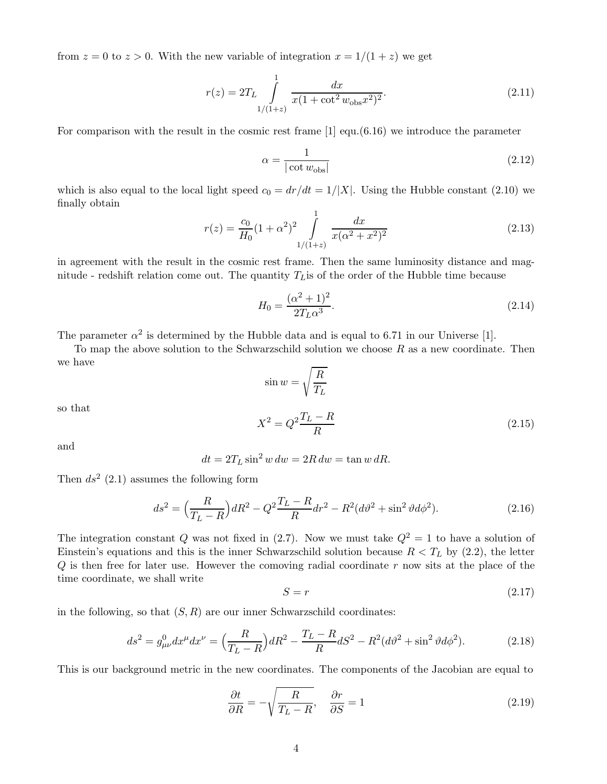from  $z = 0$  to  $z > 0$ . With the new variable of integration  $x = 1/(1 + z)$  we get

$$
r(z) = 2T_L \int_{1/(1+z)}^{1} \frac{dx}{x(1 + \cot^2 w_{\text{obs}} x^2)^2}.
$$
 (2.11)

For comparison with the result in the cosmic rest frame [1] equ.(6.16) we introduce the parameter

$$
\alpha = \frac{1}{|\cot w_{\text{obs}}|} \tag{2.12}
$$

which is also equal to the local light speed  $c_0 = dr/dt = 1/|X|$ . Using the Hubble constant (2.10) we finally obtain

$$
r(z) = \frac{c_0}{H_0} (1 + \alpha^2)^2 \int_{\frac{1}{1+(1+z)}}^1 \frac{dx}{x(\alpha^2 + x^2)^2}
$$
(2.13)

in agreement with the result in the cosmic rest frame. Then the same luminosity distance and magnitude - redshift relation come out. The quantity  $T<sub>L</sub>$  is of the order of the Hubble time because

$$
H_0 = \frac{(\alpha^2 + 1)^2}{2T_L \alpha^3}.
$$
\n(2.14)

The parameter  $\alpha^2$  is determined by the Hubble data and is equal to 6.71 in our Universe [1].

To map the above solution to the Schwarzschild solution we choose  $R$  as a new coordinate. Then we have

$$
\sin w = \sqrt{\frac{R}{T_L}}
$$
  

$$
X^2 = Q^2 \frac{T_L - R}{R}
$$
 (2.15)

and

so that

$$
dt = 2T_L \sin^2 w \, dw = 2R \, dw = \tan w \, dR.
$$

Then  $ds^2$  (2.1) assumes the following form

$$
ds^{2} = \left(\frac{R}{T_{L}-R}\right) dR^{2} - Q^{2} \frac{T_{L}-R}{R} dr^{2} - R^{2} (d\vartheta^{2} + \sin^{2} \vartheta d\phi^{2}).
$$
\n(2.16)

The integration constant Q was not fixed in (2.7). Now we must take  $Q^2 = 1$  to have a solution of Einstein's equations and this is the inner Schwarzschild solution because  $R < T_L$  by (2.2), the letter  $Q$  is then free for later use. However the comoving radial coordinate  $r$  now sits at the place of the time coordinate, we shall write

$$
S = r \tag{2.17}
$$

in the following, so that  $(S, R)$  are our inner Schwarzschild coordinates:

$$
ds^{2} = g_{\mu\nu}^{0} dx^{\mu} dx^{\nu} = \left(\frac{R}{T_{L} - R}\right) dR^{2} - \frac{T_{L} - R}{R} dS^{2} - R^{2} (d\vartheta^{2} + \sin^{2} \vartheta d\phi^{2}).
$$
 (2.18)

This is our background metric in the new coordinates. The components of the Jacobian are equal to

$$
\frac{\partial t}{\partial R} = -\sqrt{\frac{R}{T_L - R}}, \quad \frac{\partial r}{\partial S} = 1 \tag{2.19}
$$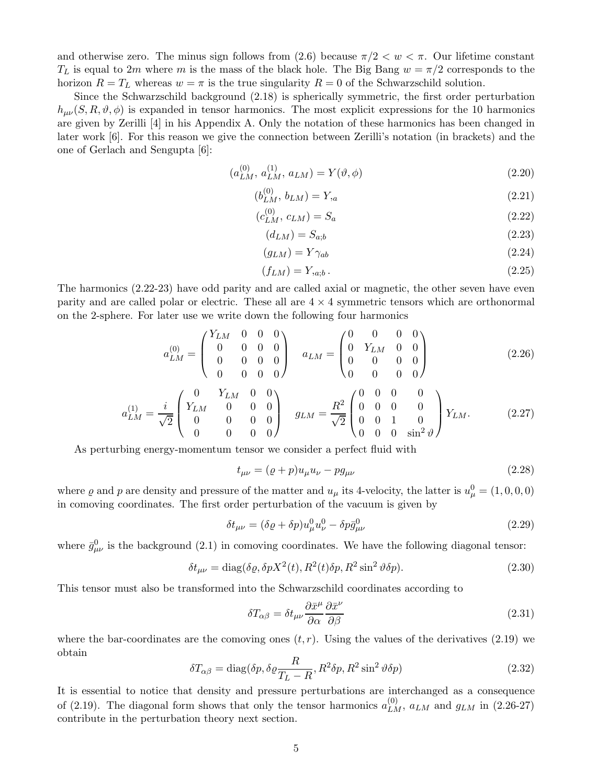and otherwise zero. The minus sign follows from (2.6) because  $\pi/2 < w < \pi$ . Our lifetime constant  $T_L$  is equal to 2m where m is the mass of the black hole. The Big Bang  $w = \pi/2$  corresponds to the horizon  $R = T<sub>L</sub>$  whereas  $w = \pi$  is the true singularity  $R = 0$  of the Schwarzschild solution.

Since the Schwarzschild background (2.18) is spherically symmetric, the first order perturbation  $h_{\mu\nu}(S, R, \vartheta, \phi)$  is expanded in tensor harmonics. The most explicit expressions for the 10 harmonics are given by Zerilli [4] in his Appendix A. Only the notation of these harmonics has been changed in later work [6]. For this reason we give the connection between Zerilli's notation (in brackets) and the one of Gerlach and Sengupta [6]:

$$
(a_{LM}^{(0)}, a_{LM}^{(1)}, a_{LM}) = Y(\vartheta, \phi)
$$
\n(2.20)

$$
(b_{LM}^{(0)}, b_{LM}) = Y_{,a} \tag{2.21}
$$

$$
(c_{LM}^{(0)}, c_{LM}) = S_a \tag{2.22}
$$

$$
(d_{LM}) = S_{a,b} \tag{2.23}
$$

$$
(g_{LM}) = Y\gamma_{ab} \tag{2.24}
$$

$$
(f_{LM}) = Y_{a;b} \,. \tag{2.25}
$$

The harmonics (2.22-23) have odd parity and are called axial or magnetic, the other seven have even parity and are called polar or electric. These all are  $4 \times 4$  symmetric tensors which are orthonormal on the 2-sphere. For later use we write down the following four harmonics

$$
a_{LM}^{(0)} = \begin{pmatrix} Y_{LM} & 0 & 0 & 0 \\ 0 & 0 & 0 & 0 \\ 0 & 0 & 0 & 0 \\ 0 & 0 & 0 & 0 \end{pmatrix} \quad a_{LM} = \begin{pmatrix} 0 & 0 & 0 & 0 \\ 0 & Y_{LM} & 0 & 0 \\ 0 & 0 & 0 & 0 \\ 0 & 0 & 0 & 0 \end{pmatrix}
$$
(2.26)

$$
a_{LM}^{(1)} = \frac{i}{\sqrt{2}} \begin{pmatrix} 0 & Y_{LM} & 0 & 0 \\ Y_{LM} & 0 & 0 & 0 \\ 0 & 0 & 0 & 0 \\ 0 & 0 & 0 & 0 \end{pmatrix} \quad g_{LM} = \frac{R^2}{\sqrt{2}} \begin{pmatrix} 0 & 0 & 0 & 0 \\ 0 & 0 & 0 & 0 \\ 0 & 0 & 1 & 0 \\ 0 & 0 & 0 & \sin^2 \vartheta \end{pmatrix} Y_{LM}.
$$
 (2.27)

As perturbing energy-momentum tensor we consider a perfect fluid with

$$
t_{\mu\nu} = (\varrho + p)u_{\mu}u_{\nu} - pg_{\mu\nu}
$$
\n(2.28)

where  $\varrho$  and  $p$  are density and pressure of the matter and  $u_{\mu}$  its 4-velocity, the latter is  $u_{\mu}^{0} = (1, 0, 0, 0)$ in comoving coordinates. The first order perturbation of the vacuum is given by

$$
\delta t_{\mu\nu} = (\delta \varrho + \delta p) u^0_{\mu} u^0_{\nu} - \delta p \bar{g}^0_{\mu\nu} \tag{2.29}
$$

where  $\bar{g}^0_{\mu\nu}$  is the background (2.1) in comoving coordinates. We have the following diagonal tensor:

$$
\delta t_{\mu\nu} = \text{diag}(\delta \varrho, \delta p X^2(t), R^2(t)\delta p, R^2 \sin^2 \vartheta \delta p). \tag{2.30}
$$

This tensor must also be transformed into the Schwarzschild coordinates according to

$$
\delta T_{\alpha\beta} = \delta t_{\mu\nu} \frac{\partial \bar{x}^{\mu}}{\partial \alpha} \frac{\partial \bar{x}^{\nu}}{\partial \beta}
$$
\n(2.31)

where the bar-coordinates are the comoving ones  $(t, r)$ . Using the values of the derivatives (2.19) we obtain

$$
\delta T_{\alpha\beta} = \text{diag}(\delta p, \delta \varrho \frac{R}{T_L - R}, R^2 \delta p, R^2 \sin^2 \vartheta \delta p)
$$
\n(2.32)

It is essential to notice that density and pressure perturbations are interchanged as a consequence of (2.19). The diagonal form shows that only the tensor harmonics  $a_{LM}^{(0)}$ ,  $a_{LM}$  and  $g_{LM}$  in (2.26-27) contribute in the perturbation theory next section.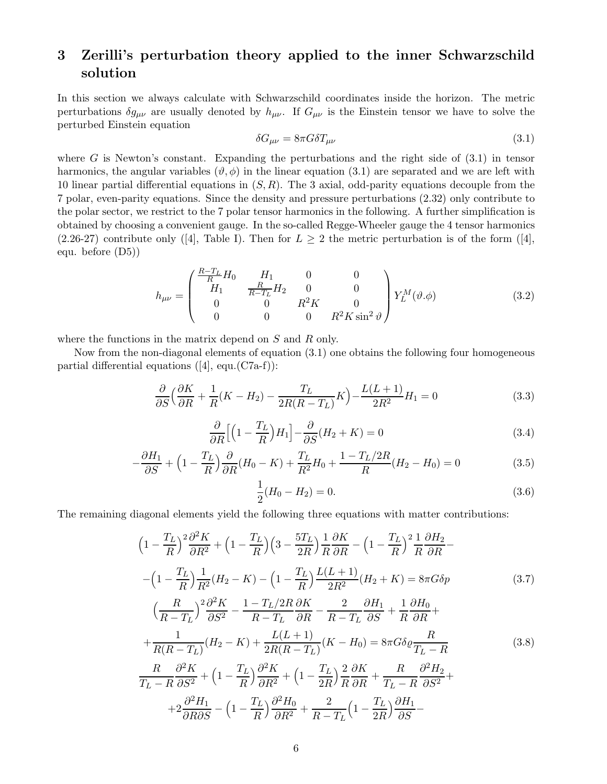# 3 Zerilli's perturbation theory applied to the inner Schwarzschild solution

In this section we always calculate with Schwarzschild coordinates inside the horizon. The metric perturbations  $\delta g_{\mu\nu}$  are usually denoted by  $h_{\mu\nu}$ . If  $G_{\mu\nu}$  is the Einstein tensor we have to solve the perturbed Einstein equation

$$
\delta G_{\mu\nu} = 8\pi G \delta T_{\mu\nu} \tag{3.1}
$$

where  $G$  is Newton's constant. Expanding the perturbations and the right side of  $(3.1)$  in tensor harmonics, the angular variables  $(\vartheta, \phi)$  in the linear equation (3.1) are separated and we are left with 10 linear partial differential equations in  $(S, R)$ . The 3 axial, odd-parity equations decouple from the 7 polar, even-parity equations. Since the density and pressure perturbations (2.32) only contribute to the polar sector, we restrict to the 7 polar tensor harmonics in the following. A further simplification is obtained by choosing a convenient gauge. In the so-called Regge-Wheeler gauge the 4 tensor harmonics (2.26-27) contribute only ([4], Table I). Then for  $L \geq 2$  the metric perturbation is of the form ([4], equ. before (D5))

$$
h_{\mu\nu} = \begin{pmatrix} \frac{R - T_L}{R} H_0 & H_1 & 0 & 0\\ H_1 & \frac{R}{R - T_L} H_2 & 0 & 0\\ 0 & 0 & R^2 K & 0\\ 0 & 0 & 0 & R^2 K \sin^2 \vartheta \end{pmatrix} Y_L^M(\vartheta, \phi) \tag{3.2}
$$

where the functions in the matrix depend on S and R only.

Now from the non-diagonal elements of equation (3.1) one obtains the following four homogeneous partial differential equations  $([4], \text{ equ.}(C7a-f))$ :

$$
\frac{\partial}{\partial S} \left( \frac{\partial K}{\partial R} + \frac{1}{R} (K - H_2) - \frac{T_L}{2R(R - T_L)} K \right) - \frac{L(L+1)}{2R^2} H_1 = 0 \tag{3.3}
$$

$$
\frac{\partial}{\partial R} \Big[ \Big( 1 - \frac{T_L}{R} \Big) H_1 \Big] - \frac{\partial}{\partial S} (H_2 + K) = 0 \tag{3.4}
$$

$$
-\frac{\partial H_1}{\partial S} + \left(1 - \frac{T_L}{R}\right)\frac{\partial}{\partial R}(H_0 - K) + \frac{T_L}{R^2}H_0 + \frac{1 - T_L/2R}{R}(H_2 - H_0) = 0\tag{3.5}
$$

$$
\frac{1}{2}(H_0 - H_2) = 0.\t\t(3.6)
$$

The remaining diagonal elements yield the following three equations with matter contributions:

$$
\left(1 - \frac{T_L}{R}\right)^2 \frac{\partial^2 K}{\partial R^2} + \left(1 - \frac{T_L}{R}\right) \left(3 - \frac{5T_L}{2R}\right) \frac{1}{R} \frac{\partial K}{\partial R} - \left(1 - \frac{T_L}{R}\right)^2 \frac{1}{R} \frac{\partial H_2}{\partial R} - \left(1 - \frac{T_L}{R}\right) \frac{1}{R^2} (H_2 - K) - \left(1 - \frac{T_L}{R}\right) \frac{L(L+1)}{2R^2} (H_2 + K) = 8\pi G \delta p \tag{3.7}
$$
\n
$$
\left(\frac{R}{R - T_L}\right)^2 \frac{\partial^2 K}{\partial S^2} - \frac{1 - T_L/2R}{R - T_L} \frac{\partial K}{\partial R} - \frac{2}{R - T_L} \frac{\partial H_1}{\partial S} + \frac{1}{R} \frac{\partial H_0}{\partial R} + \frac{1}{R(R - T_L)} (H_2 - K) + \frac{L(L+1)}{2R(R - T_L)} (K - H_0) = 8\pi G \delta \varrho \frac{R}{T_L - R} \tag{3.8}
$$
\n
$$
\frac{R}{T_L - R} \frac{\partial^2 K}{\partial S^2} + \left(1 - \frac{T_L}{R}\right) \frac{\partial^2 K}{\partial R^2} + \left(1 - \frac{T_L}{2R}\right) \frac{2}{R} \frac{\partial K}{\partial R} + \frac{R}{T_L - R} \frac{\partial^2 H_2}{\partial S^2} + \frac{2}{R - T_L} \left(1 - \frac{T_L}{2R}\right) \frac{\partial H_1}{\partial S} - \frac{1}{R} \frac{\partial^2 H_1}{\partial S^2} - \frac{1}{R} \frac{\partial^2 H_2}{\partial R^2} + \frac{2}{R - T_L} \left(1 - \frac{T_L}{2R}\right) \frac{\partial H_1}{\partial S} - \frac{1}{R} \frac{\partial H_1}{\partial S} - \frac{1}{R} \frac{\partial H_1}{\partial S} - \frac{1}{R} \frac{\partial H_1}{\partial S} - \frac{1}{R} \frac{\partial H_1}{\partial S} - \frac{1}{R} \frac{\partial H_1}{\partial S} - \frac{1}{R} \frac{\partial H_1}{\partial S} - \frac{1}{R} \frac{\partial H_1}{\partial S} -
$$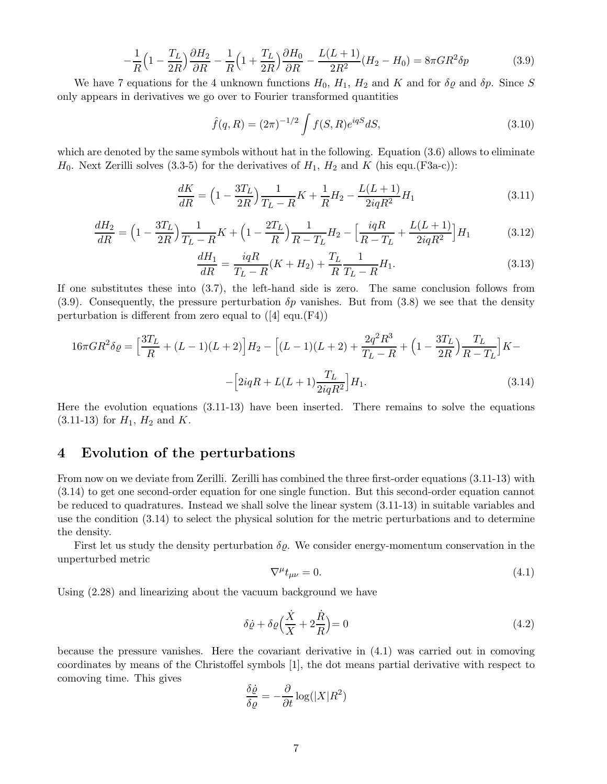$$
-\frac{1}{R}\left(1-\frac{T_L}{2R}\right)\frac{\partial H_2}{\partial R} - \frac{1}{R}\left(1+\frac{T_L}{2R}\right)\frac{\partial H_0}{\partial R} - \frac{L(L+1)}{2R^2}(H_2 - H_0) = 8\pi GR^2\delta p\tag{3.9}
$$

We have 7 equations for the 4 unknown functions  $H_0$ ,  $H_1$ ,  $H_2$  and K and for  $\delta \varrho$  and  $\delta p$ . Since S only appears in derivatives we go over to Fourier transformed quantities

$$
\hat{f}(q,R) = (2\pi)^{-1/2} \int f(S,R)e^{iqS}dS,
$$
\n(3.10)

which are denoted by the same symbols without hat in the following. Equation (3.6) allows to eliminate  $H_0$ . Next Zerilli solves (3.3-5) for the derivatives of  $H_1$ ,  $H_2$  and K (his equ.(F3a-c)):

$$
\frac{dK}{dR} = \left(1 - \frac{3T_L}{2R}\right)\frac{1}{T_L - R}K + \frac{1}{R}H_2 - \frac{L(L+1)}{2iqR^2}H_1\tag{3.11}
$$

$$
\frac{dH_2}{dR} = \left(1 - \frac{3T_L}{2R}\right)\frac{1}{T_L - R}K + \left(1 - \frac{2T_L}{R}\right)\frac{1}{R - T_L}H_2 - \left[\frac{iqR}{R - T_L} + \frac{L(L+1)}{2iqR^2}\right]H_1\tag{3.12}
$$

$$
\frac{dH_1}{dR} = \frac{i q R}{T_L - R}(K + H_2) + \frac{T_L}{R} \frac{1}{T_L - R} H_1.
$$
\n(3.13)

If one substitutes these into (3.7), the left-hand side is zero. The same conclusion follows from (3.9). Consequently, the pressure perturbation  $\delta p$  vanishes. But from (3.8) we see that the density perturbation is different from zero equal to  $([4] \text{ equ.}(F4))$ 

$$
16\pi GR^2 \delta \varrho = \left[\frac{3T_L}{R} + (L-1)(L+2)\right] H_2 - \left[(L-1)(L+2) + \frac{2q^2 R^3}{T_L - R} + \left(1 - \frac{3T_L}{2R}\right) \frac{T_L}{R - T_L}\right] K -
$$
  
- 
$$
\left[2iqR + L(L+1)\frac{T_L}{2iqR^2}\right] H_1.
$$
 (3.14)

Here the evolution equations (3.11-13) have been inserted. There remains to solve the equations  $(3.11-13)$  for  $H_1$ ,  $H_2$  and K.

#### 4 Evolution of the perturbations

From now on we deviate from Zerilli. Zerilli has combined the three first-order equations (3.11-13) with (3.14) to get one second-order equation for one single function. But this second-order equation cannot be reduced to quadratures. Instead we shall solve the linear system (3.11-13) in suitable variables and use the condition (3.14) to select the physical solution for the metric perturbations and to determine the density.

First let us study the density perturbation  $\delta \varrho$ . We consider energy-momentum conservation in the unperturbed metric

$$
\nabla^{\mu}t_{\mu\nu} = 0. \tag{4.1}
$$

Using (2.28) and linearizing about the vacuum background we have

$$
\delta \dot{\varrho} + \delta \varrho \Big(\frac{\dot{X}}{X} + 2\frac{\dot{R}}{R}\Big) = 0\tag{4.2}
$$

because the pressure vanishes. Here the covariant derivative in (4.1) was carried out in comoving coordinates by means of the Christoffel symbols [1], the dot means partial derivative with respect to comoving time. This gives

$$
\frac{\delta \dot{\varrho}}{\delta \varrho} = -\frac{\partial}{\partial t} \log(|X|R^2)
$$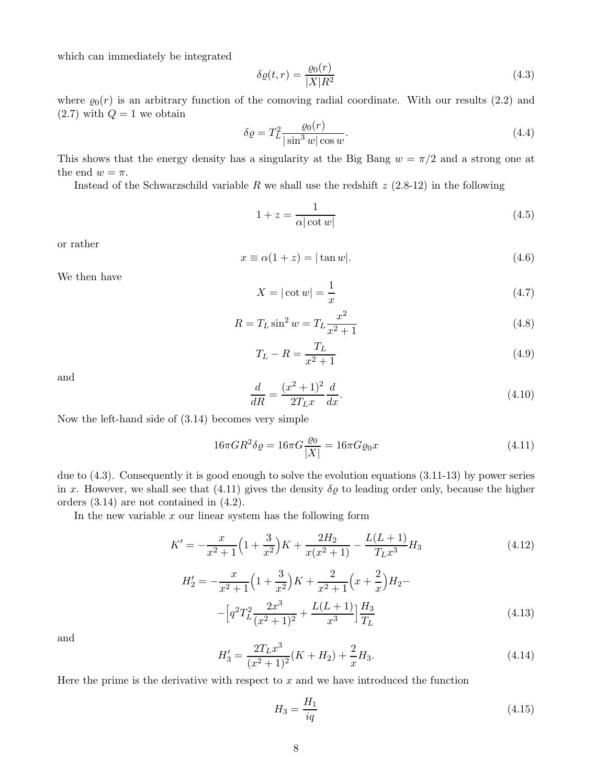which can immediately be integrated

$$
\delta \varrho(t,r) = \frac{\varrho_0(r)}{|X|R^2} \tag{4.3}
$$

where  $\varrho_0(r)$  is an arbitrary function of the comoving radial coordinate. With our results (2.2) and  $(2.7)$  with  $Q = 1$  we obtain

$$
\delta \varrho = T_L^2 \frac{\varrho_0(r)}{|\sin^3 w| \cos w}.\tag{4.4}
$$

This shows that the energy density has a singularity at the Big Bang  $w = \pi/2$  and a strong one at the end  $w = \pi$ .

Instead of the Schwarzschild variable R we shall use the redshift  $z$  (2.8-12) in the following

$$
1 + z = \frac{1}{\alpha |\cot w|} \tag{4.5}
$$

or rather

$$
x \equiv \alpha(1+z) = |\tan w|.\tag{4.6}
$$

We then have

$$
X = |\cot w| = \frac{1}{x} \tag{4.7}
$$

$$
R = T_L \sin^2 w = T_L \frac{x^2}{x^2 + 1}
$$
\n(4.8)

$$
T_L - R = \frac{T_L}{x^2 + 1}
$$
\n(4.9)

and

$$
\frac{d}{dR} = \frac{(x^2 + 1)^2}{2T_L x} \frac{d}{dx}.
$$
\n(4.10)

Now the left-hand side of (3.14) becomes very simple

$$
16\pi GR^2 \delta \varrho = 16\pi G \frac{\varrho_0}{|X|} = 16\pi G \varrho_0 x \tag{4.11}
$$

due to (4.3). Consequently it is good enough to solve the evolution equations (3.11-13) by power series in x. However, we shall see that (4.11) gives the density  $\delta \varrho$  to leading order only, because the higher orders (3.14) are not contained in (4.2).

In the new variable  $x$  our linear system has the following form

$$
K' = -\frac{x}{x^2 + 1} \left( 1 + \frac{3}{x^2} \right) K + \frac{2H_2}{x(x^2 + 1)} - \frac{L(L+1)}{T_L x^3} H_3 \tag{4.12}
$$

$$
H'_{2} = -\frac{x}{x^{2} + 1} \left( 1 + \frac{3}{x^{2}} \right) K + \frac{2}{x^{2} + 1} \left( x + \frac{2}{x} \right) H_{2} -
$$

$$
- \left[ q^{2} T_{L}^{2} \frac{2x^{3}}{(x^{2} + 1)^{2}} + \frac{L(L + 1)}{x^{3}} \right] \frac{H_{3}}{T_{L}}
$$
(4.13)

and

$$
H_3' = \frac{2T_Lx^3}{(x^2+1)^2}(K+H_2) + \frac{2}{x}H_3.
$$
\n(4.14)

Here the prime is the derivative with respect to  $x$  and we have introduced the function

$$
H_3 = \frac{H_1}{iq} \tag{4.15}
$$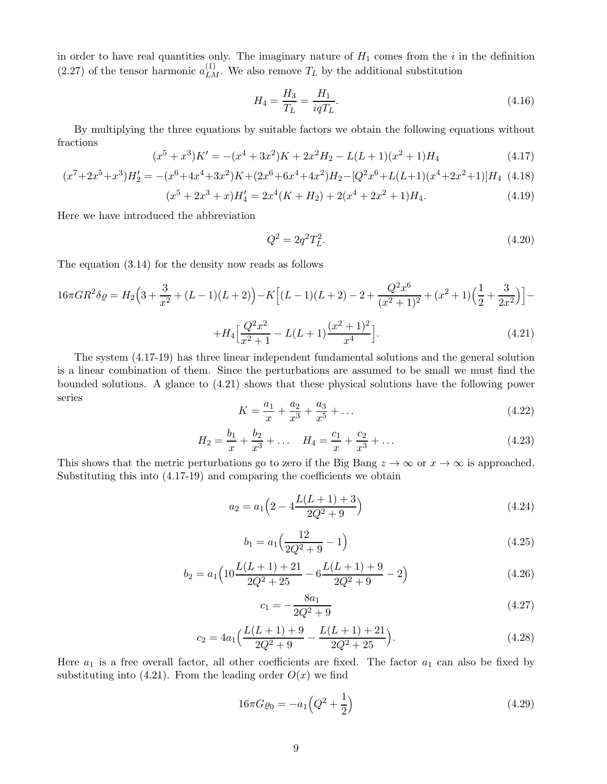in order to have real quantities only. The imaginary nature of  $H_1$  comes from the i in the definition (2.27) of the tensor harmonic  $a_{LM}^{(1)}$ . We also remove  $T_L$  by the additional substitution

$$
H_4 = \frac{H_3}{T_L} = \frac{H_1}{iqT_L}.\tag{4.16}
$$

By multiplying the three equations by suitable factors we obtain the following equations without fractions

$$
(x5 + x3)K' = -(x4 + 3x2)K + 2x2H2 - L(L + 1)(x2 + 1)H4
$$
\n(4.17)

$$
(x^7 + 2x^5 + x^3)H'_2 = -(x^6 + 4x^4 + 3x^2)K + (2x^6 + 6x^4 + 4x^2)H_2 - [Q^2x^6 + L(L+1)(x^4 + 2x^2 + 1)]H_4
$$
(4.18)

$$
(x5 + 2x3 + x)H'4 = 2x4(K + H2) + 2(x4 + 2x2 + 1)H4.
$$
 (4.19)

Here we have introduced the abbreviation

$$
Q^2 = 2q^2 T_L^2. \tag{4.20}
$$

The equation (3.14) for the density now reads as follows

$$
16\pi GR^2 \delta \varrho = H_2 \Big( 3 + \frac{3}{x^2} + (L-1)(L+2) \Big) - K \Big[ (L-1)(L+2) - 2 + \frac{Q^2 x^6}{(x^2+1)^2} + (x^2+1)\Big(\frac{1}{2} + \frac{3}{2x^2}\Big) \Big] -
$$
  

$$
= \frac{Q^2 x^2}{(x^2+1)^2} - \frac{(x^2+1)^2}{(x^2+1)^2}
$$

$$
+H_4\Big[\frac{Q^2x^2}{x^2+1} - L(L+1)\frac{(x^2+1)^2}{x^4}\Big].\tag{4.21}
$$

The system (4.17-19) has three linear independent fundamental solutions and the general solution is a linear combination of them. Since the perturbations are assumed to be small we must find the bounded solutions. A glance to (4.21) shows that these physical solutions have the following power series

$$
K = \frac{a_1}{x} + \frac{a_2}{x^3} + \frac{a_3}{x^5} + \dots
$$
\n(4.22)

$$
H_2 = \frac{b_1}{x} + \frac{b_2}{x^3} + \dots \quad H_4 = \frac{c_1}{x} + \frac{c_2}{x^3} + \dots \tag{4.23}
$$

This shows that the metric perturbations go to zero if the Big Bang  $z \to \infty$  or  $x \to \infty$  is approached. Substituting this into (4.17-19) and comparing the coefficients we obtain

$$
a_2 = a_1 \left( 2 - 4 \frac{L(L+1) + 3}{2Q^2 + 9} \right) \tag{4.24}
$$

$$
b_1 = a_1 \left(\frac{12}{2Q^2 + 9} - 1\right) \tag{4.25}
$$

$$
b_2 = a_1 \left( 10 \frac{L(L+1) + 21}{2Q^2 + 25} - 6 \frac{L(L+1) + 9}{2Q^2 + 9} - 2 \right)
$$
(4.26)

$$
c_1 = -\frac{8a_1}{2Q^2 + 9} \tag{4.27}
$$

$$
c_2 = 4a_1 \left( \frac{L(L+1) + 9}{2Q^2 + 9} - \frac{L(L+1) + 21}{2Q^2 + 25} \right). \tag{4.28}
$$

Here  $a_1$  is a free overall factor, all other coefficients are fixed. The factor  $a_1$  can also be fixed by substituting into (4.21). From the leading order  $O(x)$  we find

$$
16\pi G \varrho_0 = -a_1 \left(Q^2 + \frac{1}{2}\right) \tag{4.29}
$$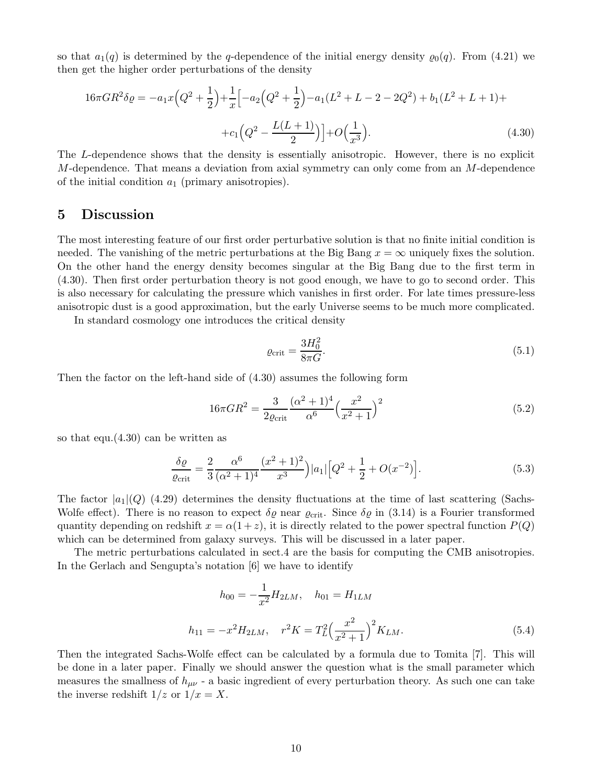so that  $a_1(q)$  is determined by the q-dependence of the initial energy density  $\varrho_0(q)$ . From (4.21) we then get the higher order perturbations of the density

$$
16\pi GR^2 \delta \varrho = -a_1 x \Big(Q^2 + \frac{1}{2}\Big) + \frac{1}{x} \Big[-a_2 \Big(Q^2 + \frac{1}{2}\Big) - a_1 (L^2 + L - 2 - 2Q^2) + b_1 (L^2 + L + 1) +
$$

$$
+ c_1 \Big(Q^2 - \frac{L(L+1)}{2}\Big) + O\Big(\frac{1}{x^3}\Big). \tag{4.30}
$$

The L-dependence shows that the density is essentially anisotropic. However, there is no explicit M-dependence. That means a deviation from axial symmetry can only come from an M-dependence of the initial condition  $a_1$  (primary anisotropies).

#### 5 Discussion

The most interesting feature of our first order perturbative solution is that no finite initial condition is needed. The vanishing of the metric perturbations at the Big Bang  $x = \infty$  uniquely fixes the solution. On the other hand the energy density becomes singular at the Big Bang due to the first term in (4.30). Then first order perturbation theory is not good enough, we have to go to second order. This is also necessary for calculating the pressure which vanishes in first order. For late times pressure-less anisotropic dust is a good approximation, but the early Universe seems to be much more complicated.

In standard cosmology one introduces the critical density

$$
\varrho_{\rm crit} = \frac{3H_0^2}{8\pi G}.\tag{5.1}
$$

Then the factor on the left-hand side of (4.30) assumes the following form

$$
16\pi GR^2 = \frac{3}{2\varrho_{\rm crit}} \frac{(\alpha^2 + 1)^4}{\alpha^6} \left(\frac{x^2}{x^2 + 1}\right)^2
$$
\n(5.2)

so that equ.(4.30) can be written as

$$
\frac{\delta \varrho}{\varrho_{\rm crit}} = \frac{2}{3} \frac{\alpha^6}{(\alpha^2 + 1)^4} \frac{(x^2 + 1)^2}{x^3} |a_1| \left[ Q^2 + \frac{1}{2} + O(x^{-2}) \right]. \tag{5.3}
$$

The factor  $|a_1|$  (Q) (4.29) determines the density fluctuations at the time of last scattering (Sachs-Wolfe effect). There is no reason to expect  $\delta\varrho$  near  $\varrho_{\rm crit}$ . Since  $\delta\varrho$  in (3.14) is a Fourier transformed quantity depending on redshift  $x = \alpha(1+z)$ , it is directly related to the power spectral function  $P(Q)$ which can be determined from galaxy surveys. This will be discussed in a later paper.

The metric perturbations calculated in sect.4 are the basis for computing the CMB anisotropies. In the Gerlach and Sengupta's notation [6] we have to identify

$$
h_{00} = -\frac{1}{x^2} H_{2LM}, \quad h_{01} = H_{1LM}
$$
  

$$
h_{11} = -x^2 H_{2LM}, \quad r^2 K = T_L^2 \left(\frac{x^2}{x^2 + 1}\right)^2 K_{LM}.
$$
 (5.4)

Then the integrated Sachs-Wolfe effect can be calculated by a formula due to Tomita [7]. This will be done in a later paper. Finally we should answer the question what is the small parameter which measures the smallness of  $h_{\mu\nu}$  - a basic ingredient of every perturbation theory. As such one can take the inverse redshift  $1/z$  or  $1/x = X$ .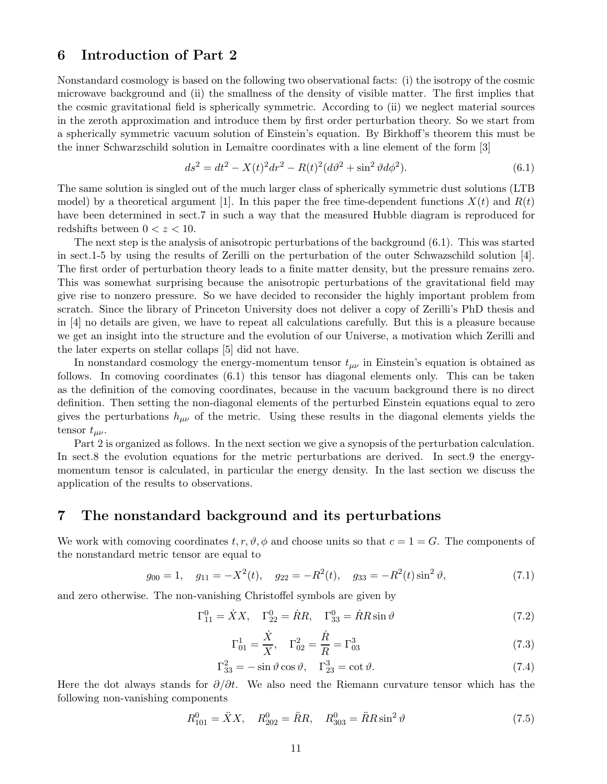#### 6 Introduction of Part 2

Nonstandard cosmology is based on the following two observational facts: (i) the isotropy of the cosmic microwave background and (ii) the smallness of the density of visible matter. The first implies that the cosmic gravitational field is spherically symmetric. According to (ii) we neglect material sources in the zeroth approximation and introduce them by first order perturbation theory. So we start from a spherically symmetric vacuum solution of Einstein's equation. By Birkhoff's theorem this must be the inner Schwarzschild solution in Lemaître coordinates with a line element of the form [3]

$$
ds^{2} = dt^{2} - X(t)^{2} dr^{2} - R(t)^{2} (d\vartheta^{2} + \sin^{2} \vartheta d\varphi^{2}).
$$
\n(6.1)

The same solution is singled out of the much larger class of spherically symmetric dust solutions (LTB model) by a theoretical argument [1]. In this paper the free time-dependent functions  $X(t)$  and  $R(t)$ have been determined in sect.7 in such a way that the measured Hubble diagram is reproduced for redshifts between  $0 < z < 10$ .

The next step is the analysis of anisotropic perturbations of the background (6.1). This was started in sect.1-5 by using the results of Zerilli on the perturbation of the outer Schwazschild solution [4]. The first order of perturbation theory leads to a finite matter density, but the pressure remains zero. This was somewhat surprising because the anisotropic perturbations of the gravitational field may give rise to nonzero pressure. So we have decided to reconsider the highly important problem from scratch. Since the library of Princeton University does not deliver a copy of Zerilli's PhD thesis and in [4] no details are given, we have to repeat all calculations carefully. But this is a pleasure because we get an insight into the structure and the evolution of our Universe, a motivation which Zerilli and the later experts on stellar collaps [5] did not have.

In nonstandard cosmology the energy-momentum tensor  $t_{\mu\nu}$  in Einstein's equation is obtained as follows. In comoving coordinates (6.1) this tensor has diagonal elements only. This can be taken as the definition of the comoving coordinates, because in the vacuum background there is no direct definition. Then setting the non-diagonal elements of the perturbed Einstein equations equal to zero gives the perturbations  $h_{\mu\nu}$  of the metric. Using these results in the diagonal elements yields the tensor  $t_{\mu\nu}$ .

Part 2 is organized as follows. In the next section we give a synopsis of the perturbation calculation. In sect.8 the evolution equations for the metric perturbations are derived. In sect.9 the energymomentum tensor is calculated, in particular the energy density. In the last section we discuss the application of the results to observations.

#### 7 The nonstandard background and its perturbations

We work with comoving coordinates  $t, r, \vartheta, \varphi$  and choose units so that  $c = 1 = G$ . The components of the nonstandard metric tensor are equal to

$$
g_{00} = 1
$$
,  $g_{11} = -X^2(t)$ ,  $g_{22} = -R^2(t)$ ,  $g_{33} = -R^2(t) \sin^2 \vartheta$ , (7.1)

and zero otherwise. The non-vanishing Christoffel symbols are given by

$$
\Gamma_{11}^{0} = \dot{X}X, \quad \Gamma_{22}^{0} = \dot{R}R, \quad \Gamma_{33}^{0} = \dot{R}R\sin\vartheta
$$
\n(7.2)

$$
\Gamma_{01}^1 = \frac{\dot{X}}{X}, \quad \Gamma_{02}^2 = \frac{\dot{R}}{R} = \Gamma_{03}^3 \tag{7.3}
$$

$$
\Gamma_{33}^2 = -\sin\vartheta\cos\vartheta, \quad \Gamma_{23}^3 = \cot\vartheta. \tag{7.4}
$$

Here the dot always stands for  $\partial/\partial t$ . We also need the Riemann curvature tensor which has the following non-vanishing components

$$
R_{101}^0 = \ddot{X}X, \quad R_{202}^0 = \ddot{R}R, \quad R_{303}^0 = \ddot{R}R\sin^2\vartheta \tag{7.5}
$$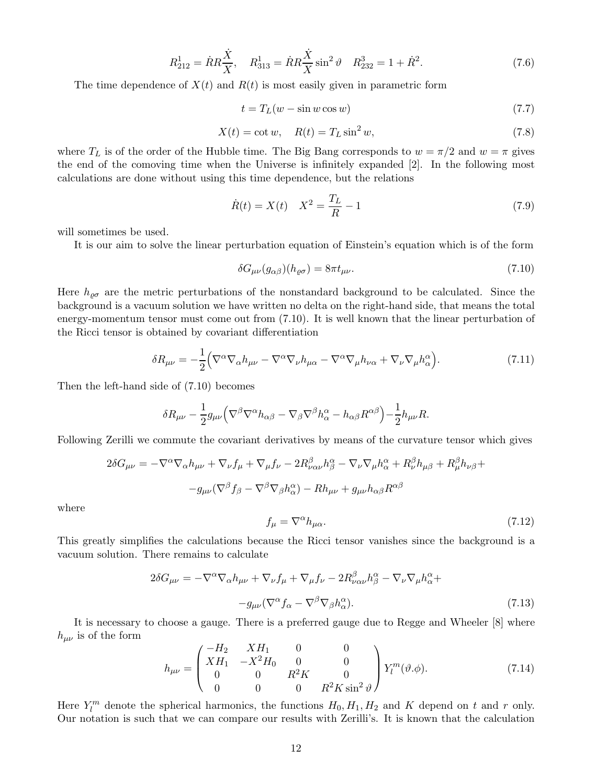$$
R_{212}^1 = \dot{R}R\frac{\dot{X}}{X}, \quad R_{313}^1 = \dot{R}R\frac{\dot{X}}{X}\sin^2\vartheta \quad R_{232}^3 = 1 + \dot{R}^2. \tag{7.6}
$$

The time dependence of  $X(t)$  and  $R(t)$  is most easily given in parametric form

$$
t = T_L(w - \sin w \cos w) \tag{7.7}
$$

$$
X(t) = \cot w, \quad R(t) = T_L \sin^2 w,\tag{7.8}
$$

where  $T_L$  is of the order of the Hubble time. The Big Bang corresponds to  $w = \pi/2$  and  $w = \pi$  gives the end of the comoving time when the Universe is infinitely expanded [2]. In the following most calculations are done without using this time dependence, but the relations

$$
\dot{R}(t) = X(t) \quad X^2 = \frac{T_L}{R} - 1 \tag{7.9}
$$

will sometimes be used.

It is our aim to solve the linear perturbation equation of Einstein's equation which is of the form

$$
\delta G_{\mu\nu}(g_{\alpha\beta})(h_{\varrho\sigma}) = 8\pi t_{\mu\nu}.\tag{7.10}
$$

Here  $h_{\rho\sigma}$  are the metric perturbations of the nonstandard background to be calculated. Since the background is a vacuum solution we have written no delta on the right-hand side, that means the total energy-momentum tensor must come out from (7.10). It is well known that the linear perturbation of the Ricci tensor is obtained by covariant differentiation

$$
\delta R_{\mu\nu} = -\frac{1}{2} \Big( \nabla^{\alpha} \nabla_{\alpha} h_{\mu\nu} - \nabla^{\alpha} \nabla_{\nu} h_{\mu\alpha} - \nabla^{\alpha} \nabla_{\mu} h_{\nu\alpha} + \nabla_{\nu} \nabla_{\mu} h_{\alpha}^{\alpha} \Big). \tag{7.11}
$$

Then the left-hand side of (7.10) becomes

$$
\delta R_{\mu\nu} - \frac{1}{2} g_{\mu\nu} \Big( \nabla^{\beta} \nabla^{\alpha} h_{\alpha\beta} - \nabla_{\beta} \nabla^{\beta} h_{\alpha}^{\alpha} - h_{\alpha\beta} R^{\alpha\beta} \Big) - \frac{1}{2} h_{\mu\nu} R.
$$

Following Zerilli we commute the covariant derivatives by means of the curvature tensor which gives

$$
2\delta G_{\mu\nu} = -\nabla^{\alpha}\nabla_{\alpha}h_{\mu\nu} + \nabla_{\nu}f_{\mu} + \nabla_{\mu}f_{\nu} - 2R^{\beta}_{\nu\alpha\nu}h^{\alpha}_{\beta} - \nabla_{\nu}\nabla_{\mu}h^{\alpha}_{\alpha} + R^{\beta}_{\nu}h_{\mu\beta} + R^{\beta}_{\mu}h_{\nu\beta} +
$$

$$
-g_{\mu\nu}(\nabla^{\beta}f_{\beta} - \nabla^{\beta}\nabla_{\beta}h^{\alpha}_{\alpha}) - Rh_{\mu\nu} + g_{\mu\nu}h_{\alpha\beta}R^{\alpha\beta}
$$

where

$$
f_{\mu} = \nabla^{\alpha} h_{\mu\alpha}.
$$
\n(7.12)

This greatly simplifies the calculations because the Ricci tensor vanishes since the background is a vacuum solution. There remains to calculate

$$
2\delta G_{\mu\nu} = -\nabla^{\alpha}\nabla_{\alpha}h_{\mu\nu} + \nabla_{\nu}f_{\mu} + \nabla_{\mu}f_{\nu} - 2R^{\beta}_{\nu\alpha\nu}h^{\alpha}_{\beta} - \nabla_{\nu}\nabla_{\mu}h^{\alpha}_{\alpha} +-g_{\mu\nu}(\nabla^{\alpha}f_{\alpha} - \nabla^{\beta}\nabla_{\beta}h^{\alpha}_{\alpha}).
$$
\n(7.13)

It is necessary to choose a gauge. There is a preferred gauge due to Regge and Wheeler [8] where  $h_{\mu\nu}$  is of the form

$$
h_{\mu\nu} = \begin{pmatrix} -H_2 & XH_1 & 0 & 0 \\ XH_1 & -X^2H_0 & 0 & 0 \\ 0 & 0 & R^2K & 0 \\ 0 & 0 & 0 & R^2K\sin^2\vartheta \end{pmatrix} Y_l^m(\vartheta.\phi). \tag{7.14}
$$

Here  $Y_l^m$  denote the spherical harmonics, the functions  $H_0, H_1, H_2$  and K depend on t and r only. Our notation is such that we can compare our results with Zerilli's. It is known that the calculation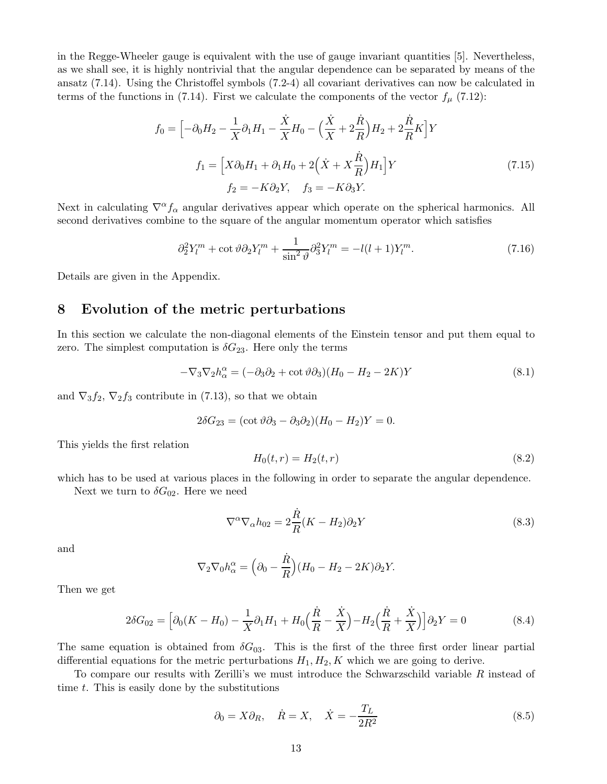in the Regge-Wheeler gauge is equivalent with the use of gauge invariant quantities [5]. Nevertheless, as we shall see, it is highly nontrivial that the angular dependence can be separated by means of the ansatz (7.14). Using the Christoffel symbols (7.2-4) all covariant derivatives can now be calculated in terms of the functions in (7.14). First we calculate the components of the vector  $f_{\mu}$  (7.12):

$$
f_0 = \left[ -\partial_0 H_2 - \frac{1}{X} \partial_1 H_1 - \frac{\dot{X}}{X} H_0 - \left( \frac{\dot{X}}{X} + 2\frac{\dot{R}}{R} \right) H_2 + 2\frac{\dot{R}}{R} K \right] Y
$$
  

$$
f_1 = \left[ X \partial_0 H_1 + \partial_1 H_0 + 2\left( \dot{X} + X\frac{\dot{R}}{R} \right) H_1 \right] Y
$$
  

$$
f_2 = -K \partial_2 Y, \quad f_3 = -K \partial_3 Y.
$$
 (7.15)

Next in calculating  $\nabla^{\alpha} f_{\alpha}$  angular derivatives appear which operate on the spherical harmonics. All second derivatives combine to the square of the angular momentum operator which satisfies

$$
\partial_2^2 Y_l^m + \cot \vartheta \partial_2 Y_l^m + \frac{1}{\sin^2 \vartheta} \partial_3^2 Y_l^m = -l(l+1) Y_l^m. \tag{7.16}
$$

Details are given in the Appendix.

#### 8 Evolution of the metric perturbations

In this section we calculate the non-diagonal elements of the Einstein tensor and put them equal to zero. The simplest computation is  $\delta G_{23}$ . Here only the terms

$$
-\nabla_3 \nabla_2 h^{\alpha}_{\alpha} = (-\partial_3 \partial_2 + \cot \vartheta \partial_3)(H_0 - H_2 - 2K)Y
$$
\n(8.1)

and  $\nabla_3 f_2$ ,  $\nabla_2 f_3$  contribute in (7.13), so that we obtain

$$
2\delta G_{23} = (\cot \vartheta \partial_3 - \partial_3 \partial_2)(H_0 - H_2)Y = 0.
$$

This yields the first relation

$$
H_0(t, r) = H_2(t, r) \tag{8.2}
$$

which has to be used at various places in the following in order to separate the angular dependence.

Next we turn to  $\delta G_{02}$ . Here we need

$$
\nabla^{\alpha}\nabla_{\alpha}h_{02} = 2\frac{\dot{R}}{R}(K - H_2)\partial_2Y
$$
\n(8.3)

and

$$
\nabla_2 \nabla_0 h_\alpha^\alpha = \left(\partial_0 - \frac{\dot{R}}{R}\right) (H_0 - H_2 - 2K) \partial_2 Y.
$$

Then we get

$$
2\delta G_{02} = \left[\partial_0 (K - H_0) - \frac{1}{X} \partial_1 H_1 + H_0 \left(\frac{\dot{R}}{R} - \frac{\dot{X}}{X}\right) - H_2 \left(\frac{\dot{R}}{R} + \frac{\dot{X}}{X}\right)\right] \partial_2 Y = 0 \tag{8.4}
$$

The same equation is obtained from  $\delta G_{03}$ . This is the first of the three first order linear partial differential equations for the metric perturbations  $H_1, H_2, K$  which we are going to derive.

To compare our results with Zerilli's we must introduce the Schwarzschild variable R instead of time  $t$ . This is easily done by the substitutions

$$
\partial_0 = X \partial_R, \quad \dot{R} = X, \quad \dot{X} = -\frac{T_L}{2R^2}
$$
\n
$$
(8.5)
$$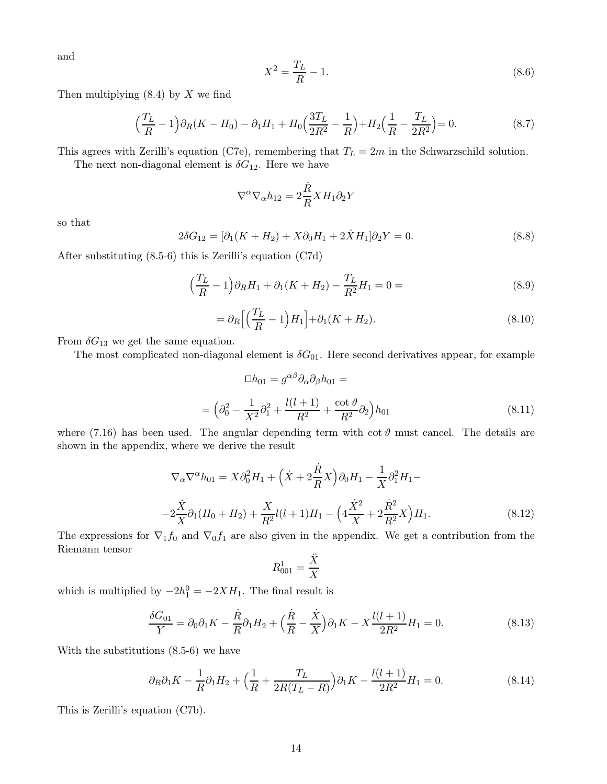and

$$
X^2 = \frac{T_L}{R} - 1.\t\t(8.6)
$$

Then multiplying  $(8.4)$  by X we find

$$
\left(\frac{T_L}{R} - 1\right)\partial_R(K - H_0) - \partial_1 H_1 + H_0\left(\frac{3T_L}{2R^2} - \frac{1}{R}\right) + H_2\left(\frac{1}{R} - \frac{T_L}{2R^2}\right) = 0.
$$
\n(8.7)

This agrees with Zerilli's equation (C7e), remembering that  $T_L = 2m$  in the Schwarzschild solution.

The next non-diagonal element is  $\delta G_{12}$ . Here we have

$$
\nabla^{\alpha}\nabla_{\alpha}h_{12} = 2\frac{\dot{R}}{R} X H_1 \partial_2 Y
$$

so that

$$
2\delta G_{12} = [\partial_1(K + H_2) + X\partial_0 H_1 + 2\dot{X}H_1]\partial_2 Y = 0.
$$
\n(8.8)

After substituting (8.5-6) this is Zerilli's equation (C7d)

$$
\left(\frac{T_L}{R} - 1\right)\partial_R H_1 + \partial_1 (K + H_2) - \frac{T_L}{R^2} H_1 = 0 = \tag{8.9}
$$

$$
= \partial_R \left[ \left( \frac{T_L}{R} - 1 \right) H_1 \right] + \partial_1 (K + H_2). \tag{8.10}
$$

From  $\delta G_{13}$  we get the same equation.

The most complicated non-diagonal element is  $\delta G_{01}$ . Here second derivatives appear, for example

$$
\Box h_{01} = g^{\alpha\beta} \partial_{\alpha} \partial_{\beta} h_{01} =
$$

$$
= \left( \partial_0^2 - \frac{1}{X^2} \partial_1^2 + \frac{l(l+1)}{R^2} + \frac{\cot \vartheta}{R^2} \partial_2 \right) h_{01}
$$
(8.11)

where (7.16) has been used. The angular depending term with  $\cot \theta$  must cancel. The details are shown in the appendix, where we derive the result

$$
\nabla_{\alpha}\nabla^{\alpha}h_{01} = X\partial_{0}^{2}H_{1} + \left(\dot{X} + 2\frac{\dot{R}}{R}X\right)\partial_{0}H_{1} - \frac{1}{X}\partial_{1}^{2}H_{1} -
$$

$$
-2\frac{\dot{X}}{X}\partial_{1}(H_{0} + H_{2}) + \frac{X}{R^{2}}l(l+1)H_{1} - \left(4\frac{\dot{X}^{2}}{X} + 2\frac{\dot{R}^{2}}{R^{2}}X\right)H_{1}.
$$
(8.12)

The expressions for  $\nabla_1 f_0$  and  $\nabla_0 f_1$  are also given in the appendix. We get a contribution from the Riemann tensor

$$
R^1_{001}=\frac{\ddot{X}}{X}
$$

which is multiplied by  $-2h_1^0 = -2XH_1$ . The final result is

$$
\frac{\delta G_{01}}{Y} = \partial_0 \partial_1 K - \frac{\dot{R}}{R} \partial_1 H_2 + \left(\frac{\dot{R}}{R} - \frac{\dot{X}}{X}\right) \partial_1 K - X \frac{l(l+1)}{2R^2} H_1 = 0.
$$
\n(8.13)

With the substitutions (8.5-6) we have

$$
\partial_R \partial_1 K - \frac{1}{R} \partial_1 H_2 + \left( \frac{1}{R} + \frac{T_L}{2R(T_L - R)} \right) \partial_1 K - \frac{l(l+1)}{2R^2} H_1 = 0. \tag{8.14}
$$

This is Zerilli's equation (C7b).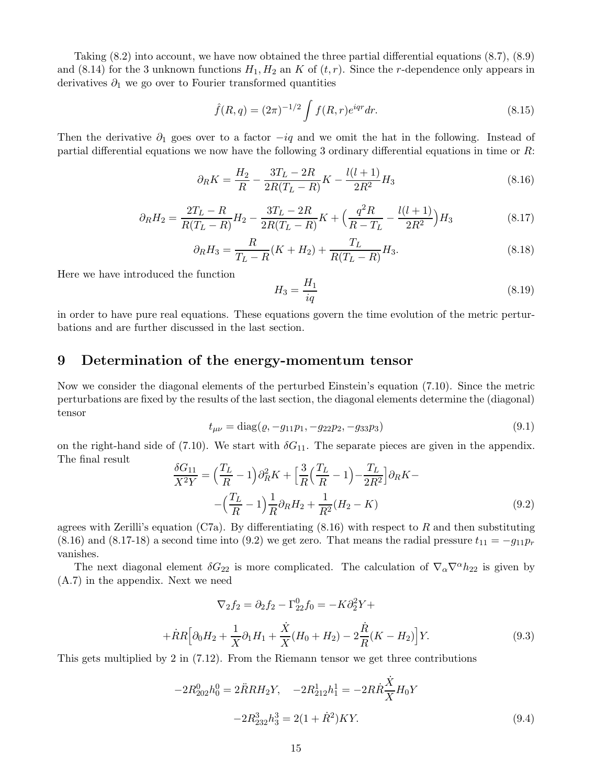Taking (8.2) into account, we have now obtained the three partial differential equations (8.7), (8.9) and (8.14) for the 3 unknown functions  $H_1, H_2$  an K of  $(t, r)$ . Since the r-dependence only appears in derivatives  $\partial_1$  we go over to Fourier transformed quantities

$$
\hat{f}(R,q) = (2\pi)^{-1/2} \int f(R,r)e^{iqr} dr.
$$
\n(8.15)

Then the derivative  $\partial_1$  goes over to a factor  $-iq$  and we omit the hat in the following. Instead of partial differential equations we now have the following 3 ordinary differential equations in time or R:

$$
\partial_R K = \frac{H_2}{R} - \frac{3T_L - 2R}{2R(T_L - R)} K - \frac{l(l+1)}{2R^2} H_3 \tag{8.16}
$$

$$
\partial_R H_2 = \frac{2T_L - R}{R(T_L - R)} H_2 - \frac{3T_L - 2R}{2R(T_L - R)} K + \left(\frac{q^2 R}{R - T_L} - \frac{l(l+1)}{2R^2}\right) H_3 \tag{8.17}
$$

$$
\partial_R H_3 = \frac{R}{T_L - R}(K + H_2) + \frac{T_L}{R(T_L - R)}H_3.
$$
\n(8.18)

Here we have introduced the function

$$
H_3 = \frac{H_1}{iq} \tag{8.19}
$$

in order to have pure real equations. These equations govern the time evolution of the metric perturbations and are further discussed in the last section.

#### 9 Determination of the energy-momentum tensor

Now we consider the diagonal elements of the perturbed Einstein's equation (7.10). Since the metric perturbations are fixed by the results of the last section, the diagonal elements determine the (diagonal) tensor

$$
t_{\mu\nu} = \text{diag}(\varrho, -g_{11}p_1, -g_{22}p_2, -g_{33}p_3) \tag{9.1}
$$

on the right-hand side of (7.10). We start with  $\delta G_{11}$ . The separate pieces are given in the appendix. The final result

$$
\frac{\delta G_{11}}{X^2 Y} = \left(\frac{T_L}{R} - 1\right) \partial_R^2 K + \left[\frac{3}{R} \left(\frac{T_L}{R} - 1\right) - \frac{T_L}{2R^2}\right] \partial_R K - \left(\frac{T_L}{R} - 1\right) \frac{1}{R} \partial_R H_2 + \frac{1}{R^2} (H_2 - K) \tag{9.2}
$$

agrees with Zerilli's equation (C7a). By differentiating  $(8.16)$  with respect to R and then substituting (8.16) and (8.17-18) a second time into (9.2) we get zero. That means the radial pressure  $t_{11} = -g_{11}p_r$ vanishes.

The next diagonal element  $\delta G_{22}$  is more complicated. The calculation of  $\nabla_{\alpha}\nabla^{\alpha}h_{22}$  is given by (A.7) in the appendix. Next we need

$$
\nabla_2 f_2 = \partial_2 f_2 - \Gamma_{22}^0 f_0 = -K \partial_2^2 Y +
$$
  
+  $\dot{R}R \Big[ \partial_0 H_2 + \frac{1}{X} \partial_1 H_1 + \frac{\dot{X}}{X} (H_0 + H_2) - 2 \frac{\dot{R}}{R} (K - H_2) \Big] Y.$  (9.3)

This gets multiplied by 2 in (7.12). From the Riemann tensor we get three contributions

$$
-2R_{202}^0 h_0^0 = 2\ddot{R}RH_2Y, \quad -2R_{212}^1 h_1^1 = -2R\dot{R}\frac{\dot{X}}{X}H_0Y
$$

$$
-2R_{232}^3 h_3^3 = 2(1+\dot{R}^2)KY.
$$
(9.4)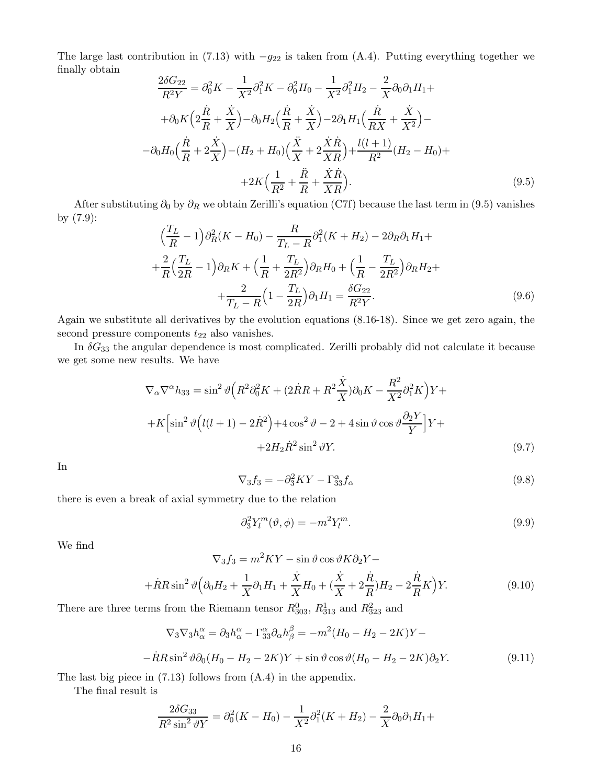The large last contribution in (7.13) with  $-g_{22}$  is taken from (A.4). Putting everything together we finally obtain

$$
\frac{2\delta G_{22}}{R^2Y} = \partial_0^2 K - \frac{1}{X^2} \partial_1^2 K - \partial_0^2 H_0 - \frac{1}{X^2} \partial_1^2 H_2 - \frac{2}{X} \partial_0 \partial_1 H_1 +
$$
  
+  $\partial_0 K \left( 2\frac{\dot{R}}{R} + \frac{\dot{X}}{X} \right) - \partial_0 H_2 \left( \frac{\dot{R}}{R} + \frac{\dot{X}}{X} \right) - 2\partial_1 H_1 \left( \frac{\dot{R}}{RX} + \frac{\dot{X}}{X^2} \right) -$   
-  $\partial_0 H_0 \left( \frac{\dot{R}}{R} + 2\frac{\dot{X}}{X} \right) - (H_2 + H_0) \left( \frac{\ddot{X}}{X} + 2\frac{\dot{X}\dot{R}}{XR} \right) + \frac{l(l+1)}{R^2} (H_2 - H_0) +$   
+  $2K \left( \frac{1}{R^2} + \frac{\ddot{R}}{R} + \frac{\dot{X}\dot{R}}{XR} \right).$  (9.5)

After substituting  $\partial_0$  by  $\partial_R$  we obtain Zerilli's equation (C7f) because the last term in (9.5) vanishes by (7.9):

$$
\left(\frac{T_L}{R} - 1\right)\partial_R^2 (K - H_0) - \frac{R}{T_L - R}\partial_1^2 (K + H_2) - 2\partial_R \partial_1 H_1 +
$$
  
+ 
$$
\frac{2}{R} \left(\frac{T_L}{2R} - 1\right)\partial_R K + \left(\frac{1}{R} + \frac{T_L}{2R^2}\right)\partial_R H_0 + \left(\frac{1}{R} - \frac{T_L}{2R^2}\right)\partial_R H_2 +
$$
  
+ 
$$
\frac{2}{T_L - R} \left(1 - \frac{T_L}{2R}\right)\partial_1 H_1 = \frac{\delta G_{22}}{R^2 Y}.
$$
(9.6)

Again we substitute all derivatives by the evolution equations (8.16-18). Since we get zero again, the second pressure components  $t_{22}$  also vanishes.

In  $\delta G_{33}$  the angular dependence is most complicated. Zerilli probably did not calculate it because we get some new results. We have

$$
\nabla_{\alpha}\nabla^{\alpha}h_{33} = \sin^2\vartheta \Big(R^2\partial_0^2 K + (2\dot{R}R + R^2\frac{\dot{X}}{X})\partial_0 K - \frac{R^2}{X^2}\partial_1^2 K\Big)Y +
$$
  
+
$$
+K\Big[\sin^2\vartheta\Big(l(l+1) - 2\dot{R}^2\Big) + 4\cos^2\vartheta - 2 + 4\sin\vartheta\cos\vartheta\frac{\partial_2 Y}{Y}\Big]Y +
$$
  
+
$$
+2H_2\dot{R}^2\sin^2\vartheta Y.
$$
 (9.7)

In

$$
\nabla_3 f_3 = -\partial_3^2 K Y - \Gamma_{33}^{\alpha} f_{\alpha} \tag{9.8}
$$

there is even a break of axial symmetry due to the relation

$$
\partial_3^2 Y_l^m(\vartheta, \phi) = -m^2 Y_l^m. \tag{9.9}
$$

We find

$$
\nabla_3 f_3 = m^2 K Y - \sin \vartheta \cos \vartheta K \partial_2 Y -
$$

$$
+ \dot{R} R \sin^2 \vartheta \Big( \partial_0 H_2 + \frac{1}{X} \partial_1 H_1 + \frac{\dot{X}}{X} H_0 + \left( \frac{\dot{X}}{X} + 2\frac{\dot{R}}{R} \right) H_2 - 2\frac{\dot{R}}{R} K \Big) Y.
$$
(9.10)

There are three terms from the Riemann tensor  $R_{303}^0$ ,  $R_{313}^1$  and  $R_{323}^2$  and

$$
\nabla_3 \nabla_3 h_\alpha^\alpha = \partial_3 h_\alpha^\alpha - \Gamma_{33}^\alpha \partial_\alpha h_\beta^\beta = -m^2 (H_0 - H_2 - 2K)Y -
$$
  

$$
-\dot{R} R \sin^2 \vartheta \partial_0 (H_0 - H_2 - 2K)Y + \sin \vartheta \cos \vartheta (H_0 - H_2 - 2K) \partial_2 Y.
$$
 (9.11)

The last big piece in (7.13) follows from (A.4) in the appendix.

The final result is

$$
\frac{2\delta G_{33}}{R^2 \sin^2 \vartheta Y} = \partial_0^2 (K - H_0) - \frac{1}{X^2} \partial_1^2 (K + H_2) - \frac{2}{X} \partial_0 \partial_1 H_1 +
$$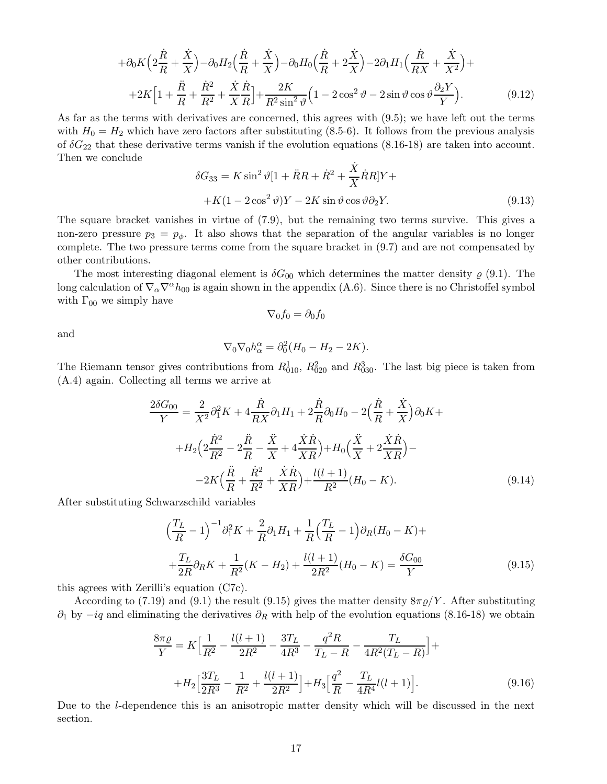$$
+\partial_0 K \Big(2\frac{\dot{R}}{R} + \frac{\dot{X}}{X}\Big) - \partial_0 H_2 \Big(\frac{\dot{R}}{R} + \frac{\dot{X}}{X}\Big) - \partial_0 H_0 \Big(\frac{\dot{R}}{R} + 2\frac{\dot{X}}{X}\Big) - 2\partial_1 H_1 \Big(\frac{\dot{R}}{RX} + \frac{\dot{X}}{X^2}\Big) + + 2K \Big[1 + \frac{\ddot{R}}{R} + \frac{\dot{R}^2}{R^2} + \frac{\dot{X}}{X} \frac{\dot{R}}{R}\Big] + \frac{2K}{R^2 \sin^2 \vartheta} \Big(1 - 2\cos^2 \vartheta - 2\sin \vartheta \cos \vartheta \frac{\partial_2 Y}{Y}\Big). \tag{9.12}
$$

As far as the terms with derivatives are concerned, this agrees with (9.5); we have left out the terms with  $H_0 = H_2$  which have zero factors after substituting (8.5-6). It follows from the previous analysis of  $\delta G_{22}$  that these derivative terms vanish if the evolution equations (8.16-18) are taken into account. Then we conclude

$$
\delta G_{33} = K \sin^2 \vartheta [1 + \ddot{R}R + \dot{R}^2 + \frac{\dot{X}}{X} \dot{R}R]Y +
$$
  
+
$$
K(1 - 2 \cos^2 \vartheta)Y - 2K \sin \vartheta \cos \vartheta \partial_2 Y.
$$
 (9.13)

The square bracket vanishes in virtue of (7.9), but the remaining two terms survive. This gives a non-zero pressure  $p_3 = p_\phi$ . It also shows that the separation of the angular variables is no longer complete. The two pressure terms come from the square bracket in (9.7) and are not compensated by other contributions.

The most interesting diagonal element is  $\delta G_{00}$  which determines the matter density  $\varrho$  (9.1). The long calculation of  $\nabla_{\alpha}\nabla^{\alpha}h_{00}$  is again shown in the appendix (A.6). Since there is no Christoffel symbol with  $\Gamma_{00}$  we simply have

$$
\nabla_0 f_0 = \partial_0 f_0
$$

and

$$
\nabla_0 \nabla_0 h_\alpha^\alpha = \partial_0^2 (H_0 - H_2 - 2K).
$$

The Riemann tensor gives contributions from  $R_{010}^1$ ,  $R_{020}^2$  and  $R_{030}^3$ . The last big piece is taken from (A.4) again. Collecting all terms we arrive at

$$
\frac{2\delta G_{00}}{Y} = \frac{2}{X^2} \partial_1^2 K + 4 \frac{\dot{R}}{RX} \partial_1 H_1 + 2 \frac{\dot{R}}{R} \partial_0 H_0 - 2 \left( \frac{\dot{R}}{R} + \frac{\dot{X}}{X} \right) \partial_0 K + \n+ H_2 \left( 2 \frac{\dot{R}^2}{R^2} - 2 \frac{\ddot{R}}{R} - \frac{\ddot{X}}{X} + 4 \frac{\dot{X} \dot{R}}{XR} \right) + H_0 \left( \frac{\ddot{X}}{X} + 2 \frac{\dot{X} \dot{R}}{XR} \right) - \n- 2K \left( \frac{\ddot{R}}{R} + \frac{\dot{R}^2}{R^2} + \frac{\dot{X} \dot{R}}{XR} \right) + \frac{l(l+1)}{R^2} (H_0 - K).
$$
\n(9.14)

After substituting Schwarzschild variables

$$
\left(\frac{T_L}{R} - 1\right)^{-1} \partial_1^2 K + \frac{2}{R} \partial_1 H_1 + \frac{1}{R} \left(\frac{T_L}{R} - 1\right) \partial_R (H_0 - K) + \n+ \frac{T_L}{2R} \partial_R K + \frac{1}{R^2} (K - H_2) + \frac{l(l+1)}{2R^2} (H_0 - K) = \frac{\delta G_{00}}{Y}
$$
\n(9.15)

this agrees with Zerilli's equation (C7c).

According to (7.19) and (9.1) the result (9.15) gives the matter density  $8\pi\rho/Y$ . After substituting  $\partial_1$  by  $-iq$  and eliminating the derivatives  $\partial_R$  with help of the evolution equations (8.16-18) we obtain

$$
\frac{8\pi\varrho}{Y} = K \Big[ \frac{1}{R^2} - \frac{l(l+1)}{2R^2} - \frac{3T_L}{4R^3} - \frac{q^2R}{T_L - R} - \frac{T_L}{4R^2(T_L - R)} \Big] +
$$
  
+
$$
H_2 \Big[ \frac{3T_L}{2R^3} - \frac{1}{R^2} + \frac{l(l+1)}{2R^2} \Big] + H_3 \Big[ \frac{q^2}{R} - \frac{T_L}{4R^4} l(l+1) \Big].
$$
 (9.16)

Due to the *l*-dependence this is an anisotropic matter density which will be discussed in the next section.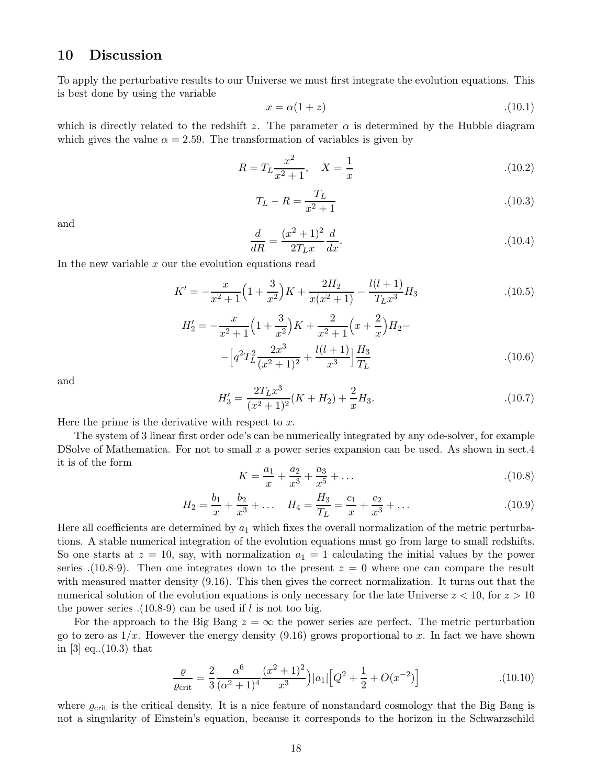#### 10 Discussion

To apply the perturbative results to our Universe we must first integrate the evolution equations. This is best done by using the variable

$$
x = \alpha(1+z) \tag{10.1}
$$

which is directly related to the redshift z. The parameter  $\alpha$  is determined by the Hubble diagram which gives the value  $\alpha = 2.59$ . The transformation of variables is given by

$$
R = T_L \frac{x^2}{x^2 + 1}, \quad X = \frac{1}{x}
$$
 (10.2)

$$
T_L - R = \frac{T_L}{x^2 + 1}
$$
 (10.3)

and

$$
\frac{d}{dR} = \frac{(x^2 + 1)^2}{2T_L x} \frac{d}{dx}.
$$
\n(10.4)

In the new variable  $x$  our the evolution equations read

$$
K' = -\frac{x}{x^2 + 1} \left( 1 + \frac{3}{x^2} \right) K + \frac{2H_2}{x(x^2 + 1)} - \frac{l(l+1)}{T_L x^3} H_3 \tag{10.5}
$$

$$
H'_{2} = -\frac{x}{x^{2}+1} \left( 1 + \frac{3}{x^{2}} \right) K + \frac{2}{x^{2}+1} \left( x + \frac{2}{x} \right) H_{2} - \left[ q^{2} T_{L}^{2} \frac{2x^{3}}{(x^{2}+1)^{2}} + \frac{l(l+1)}{x^{3}} \right] \frac{H_{3}}{T_{L}}
$$
\n(10.6)

and

$$
H_3' = \frac{2T_Lx^3}{(x^2+1)^2}(K+H_2) + \frac{2}{x}H_3.
$$
\n(10.7)

Here the prime is the derivative with respect to  $x$ .

The system of 3 linear first order ode's can be numerically integrated by any ode-solver, for example DSolve of Mathematica. For not to small  $x$  a power series expansion can be used. As shown in sect.4 it is of the form

$$
K = \frac{a_1}{x} + \frac{a_2}{x^3} + \frac{a_3}{x^5} + \dots
$$
 (10.8)

$$
H_2 = \frac{b_1}{x} + \frac{b_2}{x^3} + \dots \quad H_4 = \frac{H_3}{T_L} = \frac{c_1}{x} + \frac{c_2}{x^3} + \dots \tag{10.9}
$$

Here all coefficients are determined by  $a_1$  which fixes the overall normalization of the metric perturbations. A stable numerical integration of the evolution equations must go from large to small redshifts. So one starts at  $z = 10$ , say, with normalization  $a_1 = 1$  calculating the initial values by the power series .(10.8-9). Then one integrates down to the present  $z = 0$  where one can compare the result with measured matter density (9.16). This then gives the correct normalization. It turns out that the numerical solution of the evolution equations is only necessary for the late Universe  $z < 10$ , for  $z > 10$ the power series  $(10.8-9)$  can be used if l is not too big.

For the approach to the Big Bang  $z = \infty$  the power series are perfect. The metric perturbation go to zero as  $1/x$ . However the energy density (9.16) grows proportional to x. In fact we have shown in [3] eq..(10.3) that

$$
\frac{\varrho}{\varrho_{\rm crit}} = \frac{2}{3} \frac{\alpha^6}{(\alpha^2 + 1)^4} \frac{(x^2 + 1)^2}{x^3} |a_1| \left[ Q^2 + \frac{1}{2} + O(x^{-2}) \right]
$$
\n(10.10)

where  $\varrho_{\rm crit}$  is the critical density. It is a nice feature of nonstandard cosmology that the Big Bang is not a singularity of Einstein's equation, because it corresponds to the horizon in the Schwarzschild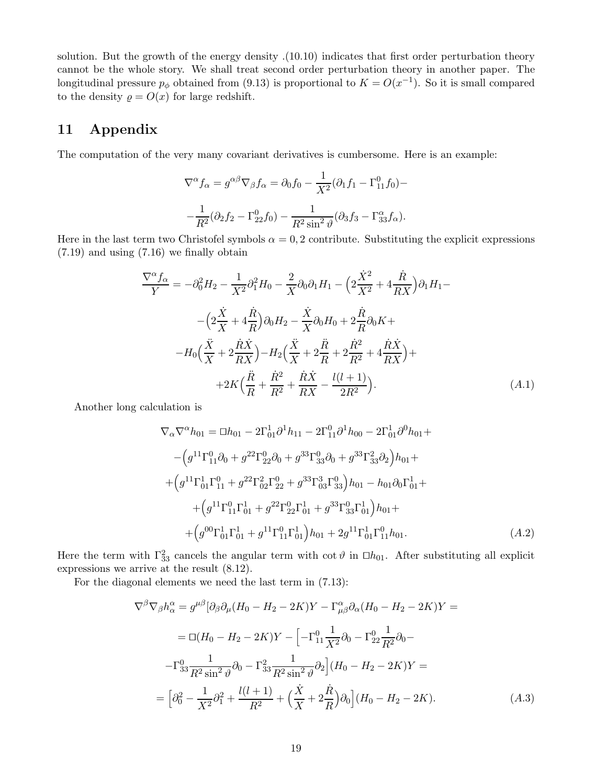solution. But the growth of the energy density .(10.10) indicates that first order perturbation theory cannot be the whole story. We shall treat second order perturbation theory in another paper. The longitudinal pressure  $p_{\phi}$  obtained from (9.13) is proportional to  $K = O(x^{-1})$ . So it is small compared to the density  $\rho = O(x)$  for large redshift.

### 11 Appendix

The computation of the very many covariant derivatives is cumbersome. Here is an example:

$$
\nabla^{\alpha} f_{\alpha} = g^{\alpha\beta} \nabla_{\beta} f_{\alpha} = \partial_0 f_0 - \frac{1}{X^2} (\partial_1 f_1 - \Gamma^0_{11} f_0) -
$$

$$
-\frac{1}{R^2} (\partial_2 f_2 - \Gamma^0_{22} f_0) - \frac{1}{R^2 \sin^2 \vartheta} (\partial_3 f_3 - \Gamma^{\alpha}_{33} f_{\alpha}).
$$

Here in the last term two Christofel symbols  $\alpha = 0, 2$  contribute. Substituting the explicit expressions (7.19) and using (7.16) we finally obtain

$$
\frac{\nabla^{\alpha} f_{\alpha}}{Y} = -\partial_{0}^{2} H_{2} - \frac{1}{X^{2}} \partial_{1}^{2} H_{0} - \frac{2}{X} \partial_{0} \partial_{1} H_{1} - \left( 2 \frac{\dot{X}^{2}}{X^{2}} + 4 \frac{\dot{R}}{RX} \right) \partial_{1} H_{1} - \left( 2 \frac{\dot{X}}{X} + 4 \frac{\dot{R}}{R} \right) \partial_{0} H_{2} - \frac{\dot{X}}{X} \partial_{0} H_{0} + 2 \frac{\dot{R}}{R} \partial_{0} K + \right.
$$

$$
-H_{0} \left( \frac{\ddot{X}}{X} + 2 \frac{\dot{R} \dot{X}}{RX} \right) - H_{2} \left( \frac{\ddot{X}}{X} + 2 \frac{\ddot{R}}{R} + 2 \frac{\dot{R}^{2}}{R^{2}} + 4 \frac{\dot{R} \dot{X}}{RX} \right) + \left. + 2K \left( \frac{\ddot{R}}{R} + \frac{\dot{R}^{2}}{R^{2}} + \frac{\dot{R} \dot{X}}{RX} - \frac{l(l+1)}{2R^{2}} \right). \tag{A.1}
$$

Another long calculation is

$$
\nabla_{\alpha}\nabla^{\alpha}h_{01} = \Box h_{01} - 2\Gamma_{01}^{1}\partial^{1}h_{11} - 2\Gamma_{11}^{0}\partial^{1}h_{00} - 2\Gamma_{01}^{1}\partial^{0}h_{01} +
$$

$$
-\left(g^{11}\Gamma_{11}^{0}\partial_{0} + g^{22}\Gamma_{22}^{0}\partial_{0} + g^{33}\Gamma_{33}^{0}\partial_{0} + g^{33}\Gamma_{33}^{2}\partial_{2}\right)h_{01} +
$$

$$
+\left(g^{11}\Gamma_{01}^{1}\Gamma_{11}^{0} + g^{22}\Gamma_{02}^{2}\Gamma_{22}^{0} + g^{33}\Gamma_{03}^{3}\Gamma_{33}^{0}\right)h_{01} - h_{01}\partial_{0}\Gamma_{01}^{1} +
$$

$$
+\left(g^{11}\Gamma_{11}^{0}\Gamma_{01}^{1} + g^{22}\Gamma_{22}^{0}\Gamma_{01}^{1} + g^{33}\Gamma_{33}^{0}\Gamma_{01}^{1}\right)h_{01} +
$$

$$
+\left(g^{00}\Gamma_{01}^{1}\Gamma_{01}^{1} + g^{11}\Gamma_{11}^{0}\Gamma_{01}^{1}\right)h_{01} + 2g^{11}\Gamma_{01}^{1}\Gamma_{11}^{0}h_{01}.
$$
 (A.2)

Here the term with  $\Gamma_{33}^2$  cancels the angular term with cot  $\vartheta$  in  $\Box h_{01}$ . After substituting all explicit expressions we arrive at the result (8.12).

For the diagonal elements we need the last term in (7.13):

$$
\nabla^{\beta}\nabla_{\beta}h^{\alpha}_{\alpha} = g^{\mu\beta}[\partial_{\beta}\partial_{\mu}(H_{0} - H_{2} - 2K)Y - \Gamma^{\alpha}_{\mu\beta}\partial_{\alpha}(H_{0} - H_{2} - 2K)Y =
$$
  
\n
$$
= \Box(H_{0} - H_{2} - 2K)Y - \Big[-\Gamma^{0}_{11}\frac{1}{X^{2}}\partial_{0} - \Gamma^{0}_{22}\frac{1}{R^{2}}\partial_{0} -
$$
  
\n
$$
-\Gamma^{0}_{33}\frac{1}{R^{2}\sin^{2}\vartheta}\partial_{0} - \Gamma^{2}_{33}\frac{1}{R^{2}\sin^{2}\vartheta}\partial_{2}\Big](H_{0} - H_{2} - 2K)Y =
$$
  
\n
$$
= \Big[\partial_{0}^{2} - \frac{1}{X^{2}}\partial_{1}^{2} + \frac{l(l+1)}{R^{2}} + \Big(\frac{\dot{X}}{X} + 2\frac{\dot{R}}{R}\Big)\partial_{0}\Big](H_{0} - H_{2} - 2K).
$$
 (A.3)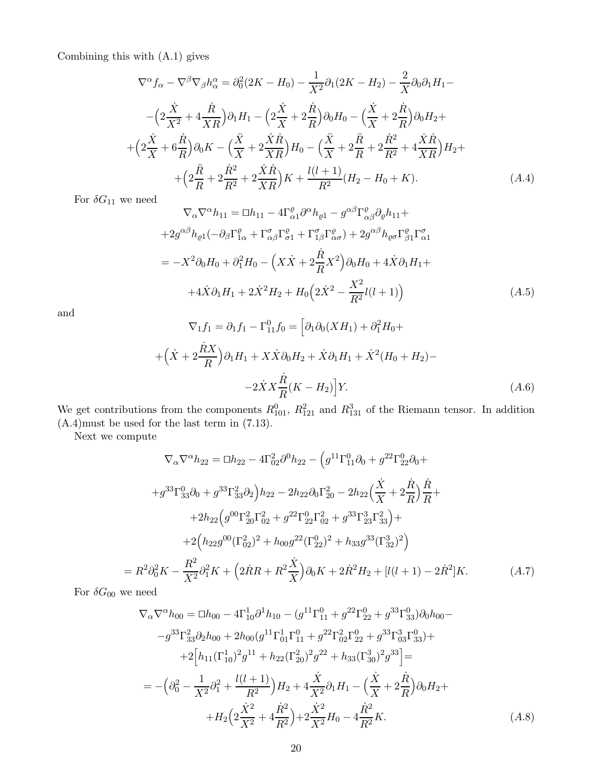Combining this with (A.1) gives

$$
\nabla^{\alpha} f_{\alpha} - \nabla^{\beta} \nabla_{\beta} h_{\alpha}^{\alpha} = \partial_{0}^{2} (2K - H_{0}) - \frac{1}{X^{2}} \partial_{1} (2K - H_{2}) - \frac{2}{X} \partial_{0} \partial_{1} H_{1} -
$$

$$
- \left( 2 \frac{\dot{X}}{X^{2}} + 4 \frac{\dot{R}}{XR} \right) \partial_{1} H_{1} - \left( 2 \frac{\dot{X}}{X} + 2 \frac{\dot{R}}{R} \right) \partial_{0} H_{0} - \left( \frac{\dot{X}}{X} + 2 \frac{\dot{R}}{R} \right) \partial_{0} H_{2} +
$$

$$
+ \left( 2 \frac{\dot{X}}{X} + 6 \frac{\dot{R}}{R} \right) \partial_{0} K - \left( \frac{\ddot{X}}{X} + 2 \frac{\dot{X} \dot{R}}{XR} \right) H_{0} - \left( \frac{\ddot{X}}{X} + 2 \frac{\ddot{R}}{R} + 2 \frac{\dot{R}^{2}}{R^{2}} + 4 \frac{\dot{X} \dot{R}}{XR} \right) H_{2} +
$$

$$
+ \left( 2 \frac{\ddot{R}}{R} + 2 \frac{\dot{R}^{2}}{R^{2}} + 2 \frac{\dot{X} \dot{R}}{XR} \right) K + \frac{l(l+1)}{R^{2}} (H_{2} - H_{0} + K). \tag{A.4}
$$

For  $\delta G_{11}$  we need

$$
\nabla_{\alpha}\nabla^{\alpha}h_{11} = \Box h_{11} - 4\Gamma^{\varrho}_{\alpha1}\partial^{\alpha}h_{\varrho 1} - g^{\alpha\beta}\Gamma^{\varrho}_{\alpha\beta}\partial_{\varrho}h_{11} ++ 2g^{\alpha\beta}h_{\varrho 1}(-\partial_{\beta}\Gamma^{\varrho}_{1\alpha} + \Gamma^{\sigma}_{\alpha\beta}\Gamma^{\varrho}_{\sigma 1} + \Gamma^{\sigma}_{1\beta}\Gamma^{\varrho}_{\alpha\sigma}) + 2g^{\alpha\beta}h_{\varrho\sigma}\Gamma^{\varrho}_{\beta1}\Gamma^{\sigma}_{\alpha1} = -X^{2}\partial_{0}H_{0} + \partial_{1}^{2}H_{0} - \left(X\dot{X} + 2\frac{\dot{R}}{R}X^{2}\right)\partial_{0}H_{0} + 4\dot{X}\partial_{1}H_{1} ++ 4\dot{X}\partial_{1}H_{1} + 2\dot{X}^{2}H_{2} + H_{0}\left(2\dot{X}^{2} - \frac{X^{2}}{R^{2}}l(l+1)\right)
$$
(A.5)

and

$$
\nabla_1 f_1 = \partial_1 f_1 - \Gamma_{11}^0 f_0 = \left[ \partial_1 \partial_0 (X H_1) + \partial_1^2 H_0 + \right.
$$
  
+ 
$$
\left( \dot{X} + 2 \frac{\dot{R} X}{R} \right) \partial_1 H_1 + X \dot{X} \partial_0 H_2 + \dot{X} \partial_1 H_1 + \dot{X}^2 (H_0 + H_2) -
$$
  
- 
$$
- 2 \dot{X} X \frac{\dot{R}}{R} (K - H_2) \Big] Y.
$$
 (A.6)

We get contributions from the components  $R_{101}^0$ ,  $R_{121}^2$  and  $R_{131}^3$  of the Riemann tensor. In addition (A.4)must be used for the last term in (7.13).

Next we compute

$$
\nabla_{\alpha}\nabla^{\alpha}h_{22} = \Box h_{22} - 4\Gamma_{02}^{2}\partial^{0}h_{22} - \left(g^{11}\Gamma_{11}^{0}\partial_{0} + g^{22}\Gamma_{22}^{0}\partial_{0} + g^{33}\Gamma_{33}^{0}\partial_{0} + g^{33}\Gamma_{33}^{2}\partial_{2}\right)h_{22} - 2h_{22}\partial_{0}\Gamma_{20}^{2} - 2h_{22}\left(\frac{\dot{X}}{X} + 2\frac{\dot{R}}{R}\right)\frac{\dot{R}}{R} + 2h_{22}\left(g^{00}\Gamma_{20}^{2}\Gamma_{02}^{2} + g^{22}\Gamma_{22}^{0}\Gamma_{02}^{2} + g^{33}\Gamma_{23}^{3}\Gamma_{33}^{2}\right) + 2\left(h_{22}g^{00}(\Gamma_{02}^{2})^{2} + h_{00}g^{22}(\Gamma_{22}^{0})^{2} + h_{33}g^{33}(\Gamma_{32}^{3})^{2}\right)
$$
  
=  $R^{2}\partial_{0}^{2}K - \frac{R^{2}}{X^{2}}\partial_{1}^{2}K + \left(2\dot{R}R + R^{2}\frac{\dot{X}}{X}\right)\partial_{0}K + 2\dot{R}^{2}H_{2} + [l(l+1) - 2\dot{R}^{2}]K.$  (A.7)

For  $\delta G_{00}$  we need

$$
\nabla_{\alpha}\nabla^{\alpha}h_{00} = \Box h_{00} - 4\Gamma_{10}^{1}\partial^{1}h_{10} - (g^{11}\Gamma_{11}^{0} + g^{22}\Gamma_{22}^{0} + g^{33}\Gamma_{33}^{0})\partial_{0}h_{00} -
$$

$$
-g^{33}\Gamma_{33}^{2}\partial_{2}h_{00} + 2h_{00}(g^{11}\Gamma_{01}^{1}\Gamma_{11}^{0} + g^{22}\Gamma_{02}^{2}\Gamma_{22}^{0} + g^{33}\Gamma_{03}^{3}\Gamma_{33}^{0}) +
$$

$$
+2\Big[h_{11}(\Gamma_{10}^{1})^{2}g^{11} + h_{22}(\Gamma_{20}^{2})^{2}g^{22} + h_{33}(\Gamma_{30}^{3})^{2}g^{33}\Big] =
$$

$$
= -\Big(\partial_{0}^{2} - \frac{1}{X^{2}}\partial_{1}^{2} + \frac{l(l+1)}{R^{2}}\Big)H_{2} + 4\frac{\dot{X}}{X^{2}}\partial_{1}H_{1} - \Big(\frac{\dot{X}}{X} + 2\frac{\dot{R}}{R}\Big)\partial_{0}H_{2} +
$$

$$
+H_{2}\Big(2\frac{\dot{X}^{2}}{X^{2}} + 4\frac{\dot{R}^{2}}{R^{2}}\Big) + 2\frac{\dot{X}^{2}}{X^{2}}H_{0} - 4\frac{\dot{R}^{2}}{R^{2}}K.
$$
(A.8)